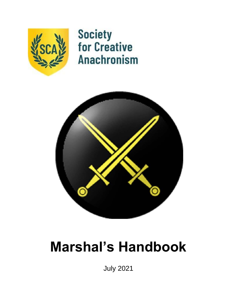

**Society<br>for Creative Anachronism** 



# **Marshal's Handbook**

July 2021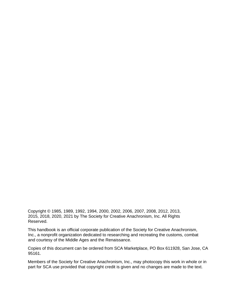Copyright © 1985, 1989, 1992, 1994, 2000, 2002, 2006, 2007, 2008, 2012, 2013, 2015, 2018, 2020, 2021 by The Society for Creative Anachronism, Inc. All Rights Reserved.

This handbook is an official corporate publication of the Society for Creative Anachronism, Inc., a nonprofit organization dedicated to researching and recreating the customs, combat and courtesy of the Middle Ages and the Renaissance.

Copies of this document can be ordered from SCA Marketplace, PO Box 611928, San Jose, CA 95161.

Members of the Society for Creative Anachronism, Inc., may photocopy this work in whole or in part for SCA use provided that copyright credit is given and no changes are made to the text.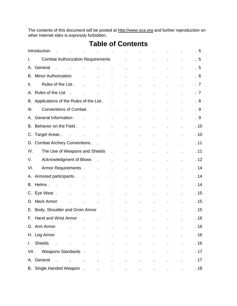The contents of this document will be posted at http://www.sca.org and further reproduction on other Internet sites is expressly forbidden.

|      | Introduction<br>$\sim$<br>$\mathbf{r}$                                                                          | the contract of the contract of the contract of the contract of                           |                                          |                                                           |                                                                                              |                                             |                                                           | $\mathcal{L}^{\mathcal{L}}$ | .5   |
|------|-----------------------------------------------------------------------------------------------------------------|-------------------------------------------------------------------------------------------|------------------------------------------|-----------------------------------------------------------|----------------------------------------------------------------------------------------------|---------------------------------------------|-----------------------------------------------------------|-----------------------------|------|
| I.   | Combat Authorization Requirements Fig. 2016.                                                                    |                                                                                           |                                          |                                                           |                                                                                              |                                             | $\mathbf{L}^{\text{max}}$ and $\mathbf{L}^{\text{max}}$   | $\mathbb{Z}^2$              | .5   |
| А.   | General<br>the contract of the contract of the contract of the contract of                                      |                                                                                           |                                          |                                                           |                                                                                              |                                             | $\mathcal{L}^{\text{max}}$ and $\mathcal{L}^{\text{max}}$ | ä,                          | .5   |
| В.   | <b>Minor Authorization</b>                                                                                      |                                                                                           |                                          |                                                           |                                                                                              | and the contract of the contract of the     |                                                           | $\epsilon$                  | .6   |
| ΙΙ.  | Rules of the List . The new state of the List.                                                                  |                                                                                           |                                          |                                                           |                                                                                              |                                             | $\mathcal{L}^{\text{max}}$                                |                             | .7   |
|      | A. Rules of the List<br>$\sim$                                                                                  |                                                                                           |                                          |                                                           | <b>All Contract Contracts</b>                                                                |                                             | $\mathbb{Z}^{\mathbb{Z}}$                                 | $\mathbf{r}^{\prime}$       | .7   |
|      |                                                                                                                 | the contract of the contract of the contract of                                           |                                          |                                                           |                                                                                              |                                             | $\mathbb{Z}^2$                                            | $\mathbb{Z}^2$              |      |
|      | B. Applications of the Rules of the List.                                                                       |                                                                                           |                                          |                                                           |                                                                                              | and the state of the                        | $\mathbf{r}$                                              | ¥,                          | . 8  |
| III. |                                                                                                                 |                                                                                           |                                          |                                                           | $\mathcal{L}^{\text{max}}$ and $\mathcal{L}^{\text{max}}$                                    | $\mathbf{r} = \mathbf{r} \times \mathbf{r}$ | $\mathbb{Z}^{\mathbb{Z}}$                                 | ä,                          | . 9  |
| А.   | General Information.                                                                                            | the contract of the contract of the contract of                                           |                                          |                                                           |                                                                                              |                                             | $\mathbf{r}^{\prime}$                                     | $\mathbf{r}^{\prime}$       | . 9  |
|      | B. Behavior on the Field                                                                                        |                                                                                           | the control of the control of the con-   |                                                           |                                                                                              |                                             | ä,                                                        | ä,                          | .10  |
| C.   | Target Areas.<br><b>Contractor</b>                                                                              | the contract of the contract of the contract of                                           |                                          |                                                           |                                                                                              |                                             | ä,                                                        | ä,                          | .10  |
|      |                                                                                                                 |                                                                                           |                                          |                                                           |                                                                                              |                                             | $\mathcal{L}^{\text{max}}$                                | $\mathbf{L}^{\prime}$       | . 11 |
| IV.  | The Use of Weapons and Shields .                                                                                |                                                                                           |                                          |                                                           | $\mathbf{z} = \mathbf{z} \times \mathbf{z}$ .                                                | <b>Contract Contract</b>                    | ¥.                                                        | ä,                          | . 11 |
| V.   | Acknowledgment of Blows . The contract of the set of the set of the set of the set of the set of the set of the |                                                                                           |                                          |                                                           |                                                                                              |                                             | $\mathbf{r}$                                              |                             | .12  |
| VI.  | Armor Requirements.                                                                                             |                                                                                           | the contract of the contract of the con- |                                                           |                                                                                              |                                             | $\mathbf{r}$                                              |                             | .14  |
| А.   | Armored participants.                                                                                           | $\sim 10$<br><b>Contractor</b>                                                            |                                          | $\mathcal{L}^{\text{max}}$ and $\mathcal{L}^{\text{max}}$ | $\mathbf{r} = \left\{ \mathbf{r} \in \mathbb{R}^d \mid \mathbf{r} \in \mathbb{R}^d \right\}$ |                                             | $\mathbf{r}$                                              | ä,                          | .14  |
|      | B. Helms.<br><b>Contract Contract</b>                                                                           | and the state of the state of the                                                         |                                          |                                                           |                                                                                              | <b>All Contract Contract</b>                | $\mathbf{r}$                                              | $\mathcal{L}^{\pm}$         | . 14 |
|      | C. Eye Wear.                                                                                                    | and the control of the control of                                                         |                                          |                                                           | $\bullet$ - $\bullet$ - $\bullet$ - $\bullet$ - $\bullet$                                    | $\mathbf{r} = \mathbf{r} \times \mathbf{r}$ | $\mathcal{L}^{\pm}$                                       |                             | . 15 |
|      | D. Neck Armor<br>the control of the control of the                                                              |                                                                                           |                                          | the control of the control of the                         |                                                                                              |                                             | ä,                                                        |                             | . 15 |
|      | E. Body, Shoulder and Groin Armor                                                                               |                                                                                           |                                          | and the company of                                        | $\mathcal{L}^{\pm}$                                                                          | $\mathbf{L}$                                | ä,                                                        | ä,                          | .15  |
|      | F. Hand and Wrist Armor                                                                                         | the control of the control of the control of the control of the control of the control of |                                          |                                                           |                                                                                              |                                             |                                                           |                             | . 16 |
|      | G. Arm Armor                                                                                                    |                                                                                           |                                          |                                                           |                                                                                              |                                             |                                                           |                             | . 16 |
|      | H. Leg Armor                                                                                                    |                                                                                           |                                          |                                                           |                                                                                              |                                             |                                                           |                             | . 16 |
|      | I. Shields .                                                                                                    |                                                                                           | ä,                                       |                                                           |                                                                                              |                                             |                                                           |                             | . 16 |
|      | VII. Weapons Standards.                                                                                         |                                                                                           |                                          |                                                           |                                                                                              |                                             |                                                           |                             | . 17 |
|      |                                                                                                                 |                                                                                           | ä,                                       |                                                           |                                                                                              |                                             |                                                           |                             | . 17 |
|      |                                                                                                                 |                                                                                           | $\mathcal{L}$                            | $\blacksquare$                                            | ä,                                                                                           |                                             |                                                           |                             |      |
|      |                                                                                                                 |                                                                                           |                                          |                                                           |                                                                                              |                                             |                                                           |                             | . 18 |

# **Table of Contents**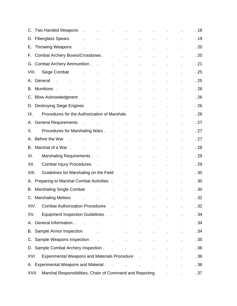|       | C. Two Handed Weapons . The contract of the contract of the contract of the contract of the contract of the co |                            |                             |                          | and the state of the state of |                             | . 18 |
|-------|----------------------------------------------------------------------------------------------------------------|----------------------------|-----------------------------|--------------------------|-------------------------------|-----------------------------|------|
| D.    | <b>Fiberglass Spears</b><br><b>All Contractor</b><br>$\mathbf{r} = \mathbf{r}$                                 | $\sim$                     | $\mathcal{L}^{\pm}$         | $\mathcal{L}^{\pm}$      |                               |                             | . 19 |
| Е.    | <b>Throwing Weapons</b><br>$\sim 100$<br>$\sim 100$                                                            |                            | $\mathbf{r}$                | $\epsilon$               | $\epsilon$                    |                             | .20  |
| F.    | Combat Archery Boxes/Crossbows.<br>$\sim 10$                                                                   |                            | $\overline{\phantom{a}}$    | ä,                       | $\blacksquare$                |                             | .20  |
|       | G. Combat Archery Ammunition.<br><b>Contract Contract</b>                                                      |                            | $\mathbf{r}$                |                          |                               |                             | . 21 |
| VIII. | Siege Combat<br>and the company<br>$\mathbf{L}^{\text{max}}$ and $\mathbf{L}^{\text{max}}$                     | <b>Contractor</b>          | $\mathbf{r}$                | $\blacksquare$           |                               |                             | .25  |
| А.    | General<br>$\sim 10$<br>and a state of the<br>$\mathcal{L}^{\text{max}}$                                       |                            | $\hat{\mathbf{r}}$          |                          |                               |                             | .25  |
| В.    | Munitions.<br>$\mathbf{r}$<br>$\mathbf{r}^{\prime}$<br>$\mathbf{r}$                                            | and the state of the       | $\mathcal{L}^{\pm}$         | ä,                       | ä,                            |                             | .26  |
| C.    | <b>Blow Acknowledgment</b><br>$\sim 10$<br><b>Contractor</b>                                                   | $\overline{\phantom{a}}$   | $\mathbf{r}$                | ä,                       | $\blacksquare$                |                             | .26  |
| D.    | <b>Destroying Siege Engines</b><br>the contract of the contract of the contract of                             |                            |                             |                          |                               |                             | .26  |
| IX.   | Procedures for the Authorization of Marshals                                                                   |                            |                             | $\mathbf{r}$             |                               |                             | .26  |
| А.    | <b>General Requirements</b><br>the control of the control of the                                               |                            |                             | $\overline{\phantom{a}}$ |                               |                             | .27  |
| Х.    | Procedures for Marshaling Wars.<br>$\sim$ $\sim$                                                               |                            | $\bullet$                   | ä,                       |                               |                             | .27  |
| А.    | Before the War<br>$\sim$ $\sim$<br>$\mathbf{r}$<br>$\mathcal{L}^{\pm}$                                         |                            | $\mathcal{L}_{\mathcal{A}}$ | ¥,                       |                               |                             | .27  |
| В.    | Marshal of a War.<br>and the company of the com-                                                               | and the company of the     |                             | $\epsilon$               |                               |                             | . 28 |
| XI.   |                                                                                                                |                            | <b>All Contract</b>         |                          |                               |                             | . 29 |
| XII.  | <b>Combat Injury Procedures</b><br>the company of the com-                                                     |                            | $\mathbf{r}$                |                          |                               |                             | . 29 |
| XIII. | Guidelines for Marshaling on the Field                                                                         | <b>Contract</b>            |                             |                          |                               |                             | . 30 |
| А.    | Preparing to Marshal Combat Activities .                                                                       |                            | $\mathbf{r}^{\prime}$       |                          |                               |                             | . 30 |
| В.    | <b>Marshaling Single Combat</b>                                                                                |                            | $\mathbf{r}$                | $\mathbf{r}$             | $\mathbf{r}$                  | $\blacksquare$              | . 30 |
|       | C. Marshaling Melees<br>the contract of the contract of the contract of<br>$\mathcal{L}^{\mathcal{L}}$         |                            |                             |                          |                               | $\mathbf{L}^{\mathrm{max}}$ | .32  |
| XIV.  | Combat Authorization Procedures .                                                                              |                            | $\overline{\phantom{a}}$    |                          |                               |                             | . 32 |
| XV.   | Equipment Inspection Guidelines                                                                                |                            |                             |                          |                               |                             | . 34 |
| А.    | General Information. .<br>$\sim 10$<br>$\mathbf{r} = \mathbf{r} \times \mathbf{r}$                             | $\mathbf{r}$               |                             |                          |                               |                             | . 34 |
|       | <b>B.</b> Sample Armor Inspection                                                                              |                            |                             |                          |                               |                             | . 34 |
|       | C. Sample Weapons Inspection                                                                                   |                            |                             |                          |                               |                             | . 35 |
|       | D. Sample Combat Archery Inspection                                                                            |                            | ä,                          |                          |                               |                             | . 36 |
| XVI.  | <b>Experimental Weapons and Materials Procedure</b>                                                            |                            |                             |                          |                               |                             | . 36 |
|       | A. Experimental Weapons and Material.                                                                          | the company of the company |                             |                          |                               |                             | . 36 |
| XVII. | Marshal Responsibilities, Chain of Command and Reporting Theory of Linear                                      |                            |                             |                          |                               |                             | .37  |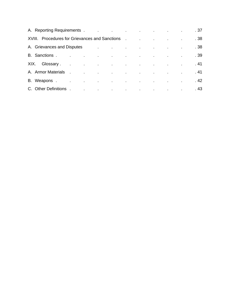|      | A. Reporting Requirements . The contract of the contract of the contract of the contract of the contract of the contract of the contract of the contract of the contract of the contract of the contract of the contract of th |                                                                                 |  |  |                                          |  | .37  |
|------|--------------------------------------------------------------------------------------------------------------------------------------------------------------------------------------------------------------------------------|---------------------------------------------------------------------------------|--|--|------------------------------------------|--|------|
|      | XVIII. Procedures for Grievances and Sanctions.                                                                                                                                                                                |                                                                                 |  |  | the contract of the contract of the con- |  | . 38 |
|      |                                                                                                                                                                                                                                |                                                                                 |  |  |                                          |  | .38  |
|      | B. Sanctions.                                                                                                                                                                                                                  | the contract of the contract of the contract of the contract of the contract of |  |  |                                          |  | .39  |
| XIX. | Glossary and the contract of the contract of the contract of the contract of the contract of the contract of the contract of the contract of the contract of the contract of the contract of the contract of the contract of t |                                                                                 |  |  |                                          |  | . 41 |
|      | A. Armor Materials .                                                                                                                                                                                                           | the contract of the contract of the contract of the contract of the contract of |  |  |                                          |  | . 41 |
|      | B. Weapons.                                                                                                                                                                                                                    | the contract of the contract of the contract of the contract of the contract of |  |  |                                          |  | . 42 |
|      | C. Other Definitions.                                                                                                                                                                                                          | the contract of the contract of the contract of the contract of the contract of |  |  |                                          |  | . 43 |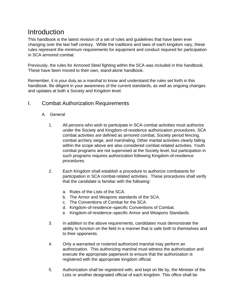# **Introduction**

This handbook is the latest revision of a set of rules and guidelines that have been ever changing over the last half century. While the traditions and laws of each kingdom vary, these rules represent the minimum requirements for equipment and conduct required for participation in SCA armored combat.

Previously, the rules for Armored Steel fighting within the SCA was included in this handbook. These have been moved to their own, stand-alone handbook.

Remember, it is your duty as a marshal to know and understand the rules set forth in this handbook. Be diligent in your awareness of the current standards, as well as ongoing changes and updates at both a Society and Kingdom level.

### I. Combat Authorization Requirements

#### A. General

- 1. All persons who wish to participate in SCA combat activities must authorize under the Society and Kingdom-of-residence authorization procedures. SCA combat activities are defined as armored combat, Society period fencing, combat archery siege, and marshaling. Other martial activities clearly falling within the scope above are also considered combat-related activities. Youth combat programs are not supervised at the Society level, but participation in such programs requires authorization following Kingdom-of-residence procedures.
- 2. Each Kingdom shall establish a procedure to authorize combatants for participation in SCA combat-related activities. These procedures shall verify that the candidate is familiar with the following:
	- a. Rules of the Lists of the SCA.
	- b. The Armor and Weapons standards of the SCA.
	- c. The Conventions of Combat for the SCA.
	- d. Kingdom-of-residence–specific Conventions of Combat.
	- e. Kingdom-of-residence–specific Armor and Weapons Standards.
- 3. In addition to the above requirements, candidates must demonstrate the ability to function on the field in a manner that is safe both to themselves and to their opponents.
- 4. Only a warranted or rostered authorized marshal may perform an authorization. This authorizing marshal must witness the authorization and execute the appropriate paperwork to ensure that the authorization is registered with the appropriate kingdom official.
- 5. Authorization shall be registered with, and kept on file by, the Minister of the Lists or another designated official of each kingdom. This office shall be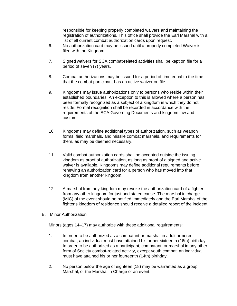responsible for keeping properly completed waivers and maintaining the registration of authorizations. This office shall provide the Earl Marshal with a list of all current combat authorization cards upon request.

- 6. No authorization card may be issued until a properly completed Waiver is filed with the Kingdom.
- 7. Signed waivers for SCA combat-related activities shall be kept on file for a period of seven (7) years.
- 8. Combat authorizations may be issued for a period of time equal to the time that the combat participant has an active waiver on file.
- 9. Kingdoms may issue authorizations only to persons who reside within their established boundaries. An exception to this is allowed where a person has been formally recognized as a subject of a kingdom in which they do not reside. Formal recognition shall be recorded in accordance with the requirements of the SCA Governing Documents and kingdom law and custom.
- 10. Kingdoms may define additional types of authorization, such as weapon forms, field marshals, and missile combat marshals, and requirements for them, as may be deemed necessary.
- 11. Valid combat authorization cards shall be accepted outside the issuing kingdom as proof of authorization, as long as proof of a signed and active waiver is available. Kingdoms may define additional requirements before renewing an authorization card for a person who has moved into that kingdom from another kingdom.
- 12. A marshal from any kingdom may revoke the authorization card of a fighter from any other kingdom for just and stated cause. The marshal in charge (MIC) of the event should be notified immediately and the Earl Marshal of the fighter's kingdom of residence should receive a detailed report of the incident.
- B. Minor Authorization

Minors (ages 14–17) may authorize with these additional requirements:

- 1. In order to be authorized as a combatant or marshal in adult armored combat, an individual must have attained his or her sixteenth (16th) birthday. In order to be authorized as a participant, combatant, or marshal in any other form of Society combat-related activity, except youth combat, an individual must have attained his or her fourteenth (14th) birthday.
- 2. No person below the age of eighteen (18) may be warranted as a group Marshal, or the Marshal in Charge of an event.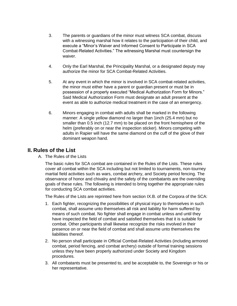- 3. The parents or guardians of the minor must witness SCA combat, discuss with a witnessing marshal how it relates to the participation of their child, and execute a "Minor's Waiver and Informed Consent to Participate in SCA Combat-Related Activities." The witnessing Marshal must countersign the waiver.
- 4. Only the Earl Marshal, the Principality Marshal, or a designated deputy may authorize the minor for SCA Combat-Related Activities.
- 5. At any event in which the minor is involved in SCA combat-related activities, the minor must either have a parent or guardian present or must be in possession of a properly executed "Medical Authorization Form for Minors." Said Medical Authorization Form must designate an adult present at the event as able to authorize medical treatment in the case of an emergency.
- 6. Minors engaging in combat with adults shall be marked in the following manner: A single yellow diamond no larger than 1inch (25.4 mm) but no smaller than 0.5 inch (12.7 mm) to be placed on the front hemisphere of the helm (preferably on or near the inspection sticker). Minors competing with adults in Rapier will have the same diamond on the cuff of the glove of their dominant weapon hand.

## **II. Rules of the List**

A. The Rules of the Lists

The basic rules for SCA combat are contained in the Rules of the Lists. These rules cover all combat within the SCA including but not limited to tournaments, non-tourney martial field activities such as wars, combat archery, and Society period fencing. The observance of honor and chivalry and the safety of the combatants are the overriding goals of these rules. The following is intended to bring together the appropriate rules for conducting SCA combat activities.

The Rules of the Lists are reprinted here from section IX.B. of the Corpora of the SCA:

- 1. Each fighter, recognizing the possibilities of physical injury to themselves in such combat, shall assume unto themselves all risk and liability for harm suffered by means of such combat. No fighter shall engage in combat unless and until they have inspected the field of combat and satisfied themselves that it is suitable for combat. Other participants shall likewise recognize the risks involved in their presence on or near the field of combat and shall assume unto themselves the liabilities thereof.
- 2. No person shall participate in Official Combat-Related Activities (including armored combat, period fencing, and combat archery) outside of formal training sessions unless they have been properly authorized under Society and Kingdom procedures.
- 3. All combatants must be presented to, and be acceptable to, the Sovereign or his or her representative.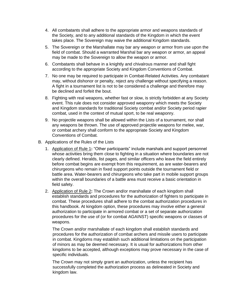- 4. All combatants shall adhere to the appropriate armor and weapons standards of the Society, and to any additional standards of the Kingdom in which the event takes place. The Sovereign may waive the additional Kingdom standards.
- 5. The Sovereign or the Marshallate may bar any weapon or armor from use upon the field of combat. Should a warranted Marshal bar any weapon or armor, an appeal may be made to the Sovereign to allow the weapon or armor.
- 6. Combatants shall behave in a knightly and chivalrous manner and shall fight according to the appropriate Society and Kingdom Conventions of Combat.
- 7. No one may be required to participate in Combat-Related Activities. Any combatant may, without dishonor or penalty, reject any challenge without specifying a reason. A fight in a tournament list is not to be considered a challenge and therefore may be declined and forfeit the bout.
- 8. Fighting with real weapons, whether fast or slow, is strictly forbidden at any Society event. This rule does not consider approved weaponry which meets the Society and Kingdom standards for traditional Society combat and/or Society period rapier combat, used in the context of mutual sport, to be real weaponry.
- 9. No projectile weapons shall be allowed within the Lists of a tournament, nor shall any weapons be thrown. The use of approved projectile weapons for melee, war, or combat archery shall conform to the appropriate Society and Kingdom Conventions of Combat.
- B. Applications of the Rules of the Lists
	- 1. Application of Rule 1**:** "Other participants" include marshals and support personnel whose activities bring them close to fighting in a situation where boundaries are not clearly defined. Heralds, list pages, and similar officers who leave the field entirely before combat begins are exempt from this requirement, as are water-bearers and chirurgeons who remain in fixed support points outside the tournament field or battle area. Water-bearers and chirurgeons who take part in mobile support groups within the overall boundaries of a battle area must receive a basic orientation in field safety.
	- 2. Application of Rule 2**:** The Crown and/or marshallate of each kingdom shall establish standards and procedures for the authorization of fighters to participate in combat. These procedures shall adhere to the combat authorization procedures in this handbook. At kingdom option, these procedures may involve either a general authorization to participate in armored combat or a set of separate authorization procedures for the use of (or for combat AGAINST) specific weapons or classes of weapons.

The Crown and/or marshallate of each kingdom shall establish standards and procedures for the authorization of combat archers and missile users to participate in combat. Kingdoms may establish such additional limitations on the participation of minors as may be deemed necessary. It is usual for authorizations from other kingdoms to be accepted, although exceptions may prove necessary in the case of specific individuals.

The Crown may not simply grant an authorization, unless the recipient has successfully completed the authorization process as delineated in Society and kingdom law.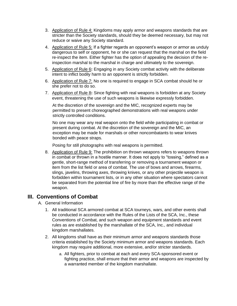- 3. Application of Rule 4: Kingdoms may apply armor and weapons standards that are stricter than the Society standards, should they be deemed necessary, but may not reduce or waive any Society standard.
- 4. Application of Rule 5: If a fighter regards an opponent's weapon or armor as unduly dangerous to self or opponent, he or she can request that the marshal on the field re-inspect the item. Either fighter has the option of appealing the decision of the reinspection marshal to the marshal in charge and ultimately to the sovereign.
- 5. Application of Rule 6**:** Engaging in any Society combat activity with the deliberate intent to inflict bodily harm to an opponent is strictly forbidden.
- 6. Application of Rule 7: No one is required to engage in SCA combat should he or she prefer not to do so.
- 7. Application of Rule 8**:** Since fighting with real weapons is forbidden at any Society event, threatening the use of such weapons is likewise expressly forbidden.

At the discretion of the sovereign and the MIC, recognized experts may be permitted to present choreographed demonstrations with real weapons under strictly controlled conditions.

No one may wear any real weapon onto the field while participating in combat or present during combat. At the discretion of the sovereign and the MIC, an exception may be made for marshals or other noncombatants to wear knives bonded with peace straps.

Posing for still photographs with real weapons is permitted.

8. Application of Rule 9: The prohibition on thrown weapons refers to weapons thrown in combat or thrown in a hostile manner. It does not apply to "tossing," defined as a gentle, short-range method of transferring or removing a tournament weapon or item from the list field or area of combat. The use of bows and arrows, firearms, slings, javelins, throwing axes, throwing knives, or any other projectile weapon is forbidden within tournament lists, or in any other situation where spectators cannot be separated from the potential line of fire by more than the effective range of the weapon.

#### **III. Conventions of Combat**

- A. General Information
	- 1. All traditional SCA armored combat at SCA tourneys, wars, and other events shall be conducted in accordance with the Rules of the Lists of the SCA, Inc., these Conventions of Combat, and such weapon and equipment standards and event rules as are established by the marshallate of the SCA, Inc., and individual kingdom marshallates.
	- 2. All kingdoms shall have as their minimum armor and weapons standards those criteria established by the Society minimum armor and weapons standards. Each kingdom may require additional, more extensive, and/or stricter standards.
		- a. All fighters, prior to combat at each and every SCA-sponsored event or fighting practice, shall ensure that their armor and weapons are inspected by a warranted member of the kingdom marshallate.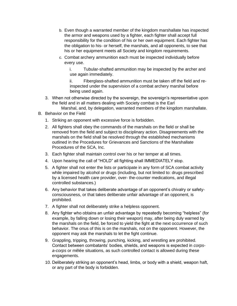- b. Even though a warranted member of the kingdom marshallate has inspected the armor and weapons used by a fighter, each fighter shall accept full responsibility for the condition of his or her own equipment. Each fighter has the obligation to his- or herself, the marshals, and all opponents, to see that his or her equipment meets all Society and kingdom requirements.
- c. Combat archery ammunition each must be inspected individually before every use.

i. Tubular-shafted ammunition may be inspected by the archer and use again immediately.

ii. Fiberglass-shafted ammunition must be taken off the field and reinspected under the supervision of a combat archery marshal before being used again.

- 3. When not otherwise directed by the sovereign, the sovereign's representative upon the field and in all matters dealing with Society combat is the Earl
- Marshal, and, by delegation, warranted members of the kingdom marshallate.
- B. Behavior on the Field
	- 1. Striking an opponent with excessive force is forbidden.
	- 2. All fighters shall obey the commands of the marshals on the field or shall be removed from the field and subject to disciplinary action. Disagreements with the marshals on the field shall be resolved through the established mechanisms outlined in the Procedures for Grievances and Sanctions of the Marshallate Procedures of the SCA, Inc.
	- 3. Each fighter shall maintain control over his or her temper at all times.
	- 4. Upon hearing the call of "HOLD" all fighting shall IMMEDIATELY stop.
	- 5. A fighter shall not enter the lists or participate in any form of SCA combat activity while impaired by alcohol or drugs (including, but not limited to: drugs prescribed by a licensed health care provider, over- the-counter medications, and illegal controlled substances.)
	- 6. Any behavior that takes deliberate advantage of an opponent's chivalry or safetyconsciousness, or that takes deliberate unfair advantage of an opponent, is prohibited.
	- 7. A fighter shall not deliberately strike a helpless opponent.
	- 8. Any fighter who obtains an unfair advantage by repeatedly becoming "helpless" (for example, by falling down or losing their weapon) may, after being duly warned by the marshals on the field, be forced to yield the fight at the next occurrence of such behavior. The onus of this is on the marshals, not on the opponent. However, the opponent may ask the marshals to let the fight continue.
	- 9. Grappling, tripping, throwing, punching, kicking, and wrestling are prohibited. Contact between combatants' bodies, shields, and weapons is expected in *corpsa-corps* or mêlée situations, as such controlled contact is allowed during these engagements.
	- 10. Deliberately striking an opponent's head, limbs, or body with a shield, weapon haft, or any part of the body is forbidden.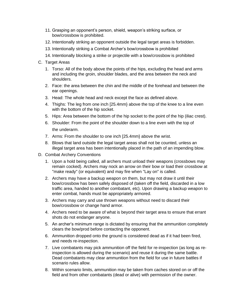- 11. Grasping an opponent's person, shield, weapon's striking surface, or bow/crossbow is prohibited.
- 12. Intentionally striking an opponent outside the legal target areas is forbidden.
- 13. Intentionally striking a Combat Archer's bow/crossbow is prohibited
- 14. Intentionally blocking a strike or projectile with a bow/crossbow is prohibited
- C. Target Areas
	- 1. Torso: All of the body above the points of the hips, excluding the head and arms and including the groin, shoulder blades, and the area between the neck and shoulders.
	- 2. Face: the area between the chin and the middle of the forehead and between the ear openings.
	- 3. Head: The whole head and neck except the face as defined above.
	- 4. Thighs: The leg from one inch [25.4mm} above the top of the knee to a line even with the bottom of the hip socket.
	- 5. Hips: Area between the bottom of the hip socket to the point of the hip (iliac crest).
	- 6. Shoulder: From the point of the shoulder down to a line even with the top of the underarm.
	- 7. Arms: From the shoulder to one inch [25.4mm} above the wrist.
	- 8. Blows that land outside the legal target areas shall not be counted, unless an illegal target area has been intentionally placed in the path of an impending blow.
- D. Combat Archery Conventions
	- 1. Upon a hold being called, all archers must unload their weapons (crossbows may remain cocked). Archers may nock an arrow on their bow or load their crossbow at "make ready" (or equivalent) and may fire when "Lay on" is called.
	- 2. Archers may have a backup weapon on them, but may not draw it until their bow/crossbow has been safely disposed of (taken off the field, discarded in a low traffic area, handed to another combatant, etc). Upon drawing a backup weapon to enter combat, hands must be appropriately armored.
	- 3. Archers may carry and use thrown weapons without need to discard their bow/crossbow or change hand armor.
	- 4. Archers need to be aware of what is beyond their target area to ensure that errant shots do not endanger anyone.
	- 5. An archer's minimum range is dictated by ensuring that the ammunition completely clears the bow/prod before contacting the opponent.
	- 6. Ammunition dropped onto the ground is considered dead as if it had been fired, and needs re-inspection.
	- 7. Live combatants may pick ammunition off the field for re-inspection (as long as reinspection is allowed during the scenario) and reuse it during the same battle. Dead combatants may clear ammunition from the field for use in future battles if scenario rules allow.
	- 8. Within scenario limits, ammunition may be taken from caches stored on or off the field and from other combatants (dead or alive) with permission of the owner.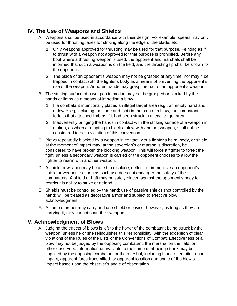# **IV. The Use of Weapons and Shields**

- A. Weapons shall be used in accordance with their design. For example, spears may only be used for thrusting, axes for striking along the edge of the blade, etc.
	- 1. Only weapons approved for thrusting may be used for that purpose. Feinting as if to thrust with a weapon not approved for that purpose is prohibited. Before any bout where a thrusting weapon is used, the opponent and marshals shall be informed that such a weapon is on the field, and the thrusting tip shall be shown to the opponent.
	- 2. The blade of an opponent's weapon may not be grasped at any time, nor may it be trapped in contact with the fighter's body as a means of preventing the opponent's use of the weapon. Armored hands may grasp the haft of an opponent's weapon.
- B. The striking surface of a weapon in motion may not be grasped or blocked by the hands or limbs as a means of impeding a blow.
	- 1. If a combatant intentionally places an illegal target area (e.g., an empty hand and or lower leg, including the knee and foot) in the path of a blow, the combatant forfeits that attached limb as if it had been struck in a legal target area.
	- 2. Inadvertently bringing the hands in contact with the striking surface of a weapon in motion, as when attempting to block a blow with another weapon, shall not be considered to be in violation of this convention.
- C. Blows repeatedly blocked by a weapon in contact with a fighter's helm, body, or shield at the moment of impact may, at the sovereign's or marshal's discretion, be considered to have broken the blocking weapon. This will force a fighter to forfeit the fight, unless a secondary weapon is carried or the opponent chooses to allow the fighter to rearm with another weapon.
- D. A shield or weapon may be used to displace, deflect, or immobilize an opponent's shield or weapon, so long as such use does not endanger the safety of the combatants. A shield or haft may be safely placed against the opponent's body to restrict his ability to strike or defend.
- E. Shields must be controlled by the hand; use of passive shields (not controlled by the hand) will be treated as decorative armor and subject to effective blow acknowledgment.
- F. A combat archer may carry and use shield or pavise; however, as long as they are carrying it, they cannot span their weapon.

# **V. Acknowledgment of Blows**

A. Judging the effects of blows is left to the honor of the combatant being struck by the weapon, unless he or she relinquishes this responsibility, with the exception of clear violations of the Rules of the Lists or the Conventions of Combat. Effectiveness of a blow may not be judged by the opposing combatant, the marshal on the field, or other observers. Information unavailable to the combatant being struck may be supplied by the opposing combatant or the marshal, including blade orientation upon impact, apparent force transmitted, or apparent location and angle of the blow's impact based upon the observer's angle of observation.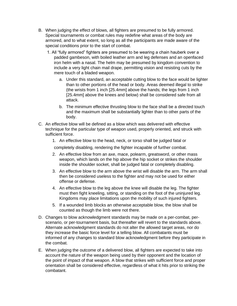- B. When judging the effect of blows, all fighters are presumed to be fully armored. Special tournaments or combat rules may redefine what areas of the body are armored, and to what extent, so long as all the participants are made aware of the special conditions prior to the start of combat.
	- 1. All "fully armored" fighters are presumed to be wearing a chain hauberk over a padded gambeson, with boiled leather arm and leg defenses and an openfaced iron helm with a nasal. The helm may be presumed by kingdom convention to include a very light chain mail drape, permitting vision and resisting cuts by the mere touch of a bladed weapon.
		- a. Under this standard, an acceptable cutting blow to the face would be lighter than to other portions of the head or body. Areas deemed illegal to strike (the wrists from 1 inch [25.4mm] above the hands; the legs from 1 inch [25.4mm] above the knees and below) shall be considered safe from all attack.
		- b. The minimum effective thrusting blow to the face shall be a directed touch and the maximum shall be substantially lighter than to other parts of the body.
- C. An effective blow will be defined as a blow which was delivered with effective technique for the particular type of weapon used, properly oriented, and struck with sufficient force.
	- 1. An effective blow to the head, neck, or torso shall be judged fatal or

completely disabling, rendering the fighter incapable of further combat.

- 2. An effective blow from an axe, mace, polearm, greatsword, or other mass weapon, which lands on the hip above the hip socket or strikes the shoulder inside the shoulder socket, shall be judged fatal or completely disabling.
- 3. An effective blow to the arm above the wrist will disable the arm. The arm shall then be considered useless to the fighter and may not be used for either offense or defense.
- 4. An effective blow to the leg above the knee will disable the leg. The fighter must then fight kneeling, sitting, or standing on the foot of the uninjured leg. Kingdoms may place limitations upon the mobility of such injured fighters.
- 5. If a wounded limb blocks an otherwise acceptable blow, the blow shall be counted as though the limb were not there.
- D. Changes to blow acknowledgment standards may be made on a per-combat, perscenario, or per-tournament basis, but thereafter will revert to the standards above. Alternate acknowledgment standards do not alter the allowed target areas, nor do they increase the basic force level for a telling blow. All combatants must be informed of any changes to standard blow acknowledgment before they participate in the combat.
- E. When judging the outcome of a delivered blow, all fighters are expected to take into account the nature of the weapon being used by their opponent and the location of the point of impact of that weapon. A blow that strikes with sufficient force and proper orientation shall be considered effective, regardless of what it hits prior to striking the combatant.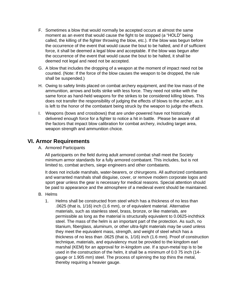- F. Sometimes a blow that would normally be accepted occurs at almost the same moment as an event that would cause the fight to be stopped (a "HOLD" being called, the killing of the fighter throwing the blow, etc.). If the blow was begun before the occurrence of the event that would cause the bout to be halted, and if of sufficient force, it shall be deemed a legal blow and acceptable. If the blow was begun after the occurrence of the event that would cause the bout to be halted, it shall be deemed not legal and need not be accepted.
- G. A blow that includes the dropping of a weapon at the moment of impact need not be counted. (Note: If the force of the blow causes the weapon to be dropped, the rule shall be suspended.)
- H. Owing to safety limits placed on combat archery equipment, and the low mass of the ammunition, arrows and bolts strike with less force. They need not strike with the same force as hand-held weapons for the strikes to be considered killing blows. This does not transfer the responsibility of judging the effects of blows to the archer, as it is left to the honor of the combatant being struck by the weapon to judge the effects.
- I. Weapons (bows and crossbows) that are under-powered have not historically delivered enough force for a fighter to notice a hit in battle. Please be aware of all the factors that impact blow calibration for combat archery, including target area, weapon strength and ammunition choice.

#### **VI. Armor Requirements**

A. Armored Participants

All participants on the field during adult armored combat shall meet the Society minimum armor standards for a fully armored combatant. This includes, but is not limited to, combat archers, siege engineers and other combatants.

It does not include marshals, water-bearers, or chirurgeons. All authorized combatants and warranted marshals shall disguise, cover, or remove modern corporate logos and sport gear unless the gear is necessary for medical reasons. Special attention should be paid to appearance and the atmosphere of a medieval event should be maintained.

- B. Helms
	- 1. Helms shall be constructed from steel which has a thickness of no less than .0625 (that is, 1/16) inch (1.6 mm), or of equivalent material. Alternative materials, such as stainless steel, brass, bronze, or like materials, are permissible as long as the material is structurally equivalent to 0.0625-inchthick steel. The mass of the helm is an important part of the protection. As such, no titanium, fiberglass, aluminum, or other ultra-light materials may be used unless they meet the equivalent mass, strength, and weight of steel which has a thickness of no less than .0625 (that is, 1/16) inch (1.6 mm). Proof of construction technique, materials, and equivalency must be provided to the kingdom earl marshal (KEM) for an approval for in-kingdom use. If a spun-metal top is to be used in the construction of the helm, it shall be a minimum of 0.0 75 inch (14 gauge or 1.905 mm) steel. The process of spinning the top thins the metal, thereby requiring a heavier gauge.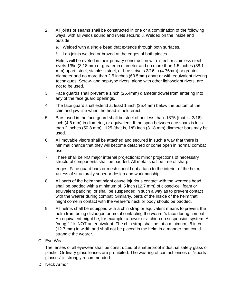- 2. All joints or seams shall be constructed in one or a combination of the following ways, with all welds sound and rivets secure: d. Welded on the inside and outside.
	- e. Welded with a single bead that extends through both surfaces.
	- f. Lap joints welded or brazed at the edges of both pieces.

Helms will be riveted in their primary construction with steel or stainless steel rivets 1/8in (3.18mm) or greater in diameter and no more than 1.5 inches (38.1 mm) apart, steel, stainless steel, or brass rivets 3/16 in (4.76mm) or greater diameter and no more than 2.5 inches (63.5mm) apart or with equivalent riveting techniques. Screw- and pop-type rivets, along with other lightweight rivets, are not to be used.

- 3. Face guards shall prevent a 1inch (25.4mm) diameter dowel from entering into any of the face guard openings.
- 4. The face guard shall extend at least 1 inch (25.4mm) below the bottom of the chin and jaw line when the head is held erect.
- 5. Bars used in the face guard shall be steel of not less than .1875 (that is, 3/16) inch (4.8 mm) in diameter, or equivalent. If the span between crossbars is less than 2 inches (50.8 mm), .125 (that is, 1/8) inch (3.18 mm) diameter bars may be used.
- 6. All movable visors shall be attached and secured in such a way that there is minimal chance that they will become detached or come open in normal combat use.
- 7. There shall be NO major internal projections; minor projections of necessary structural components shall be padded. All metal shall be free of sharp

edges. Face guard bars or mesh should not attach to the interior of the helm, unless of structurally superior design and workmanship.

- 8. All parts of the helm that might cause injurious contact with the wearer's head shall be padded with a minimum of .5 inch (12.7 mm) of closed-cell foam or equivalent padding, or shall be suspended in such a way as to prevent contact with the wearer during combat. Similarly, parts of the inside of the helm that might come in contact with the wearer's neck or body should be padded.
- 9. All helms shall be equipped with a chin strap or equivalent means to prevent the helm from being dislodged or metal contacting the wearer's face during combat. An equivalent might be, for example, a bevor or a chin-cup suspension system. A "snug fit" is NOT an equivalent. The chin strap shall be, at a minimum, .5 inch (12.7 mm) in width and shall not be placed in the helm in a manner that could strangle the wearer.
- C. Eye Wear

The lenses of all eyewear shall be constructed of shatterproof industrial safety glass or plastic. Ordinary glass lenses are prohibited. The wearing of contact lenses or "sports glasses" is strongly recommended.

D. Neck Armor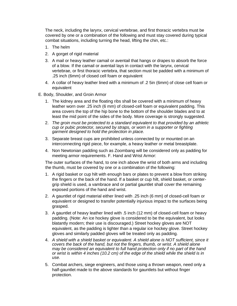The neck, including the larynx, cervical vertebrae, and first thoracic vertebra must be covered by one or a combination of the following and must stay covered during typical combat situations, including turning the head, lifting the chin, etc.:

- 1. The helm
- 2. A gorget of rigid material
- 3. A mail or heavy leather camail or aventail that hangs or drapes to absorb the force of a blow. If the camail or aventail lays in contact with the larynx, cervical vertebrae, or first thoracic vertebra, that section must be padded with a minimum of .25 inch (6mm) of closed cell foam or equivalent
- 4. A collar of heavy leather lined with a minimum of .2 5in (6mm) of close cell foam or equivalent
- E. Body, Shoulder, and Groin Armor
	- 1. The kidney area and the floating ribs shall be covered with a minimum of heavy leather worn over .25 inch (6 mm) of closed-cell foam or equivalent padding. This area covers the top of the hip bone to the bottom of the shoulder blades and to at least the mid point of the sides of the body. More coverage is strongly suggested.
	- 2. *The groin must be protected to a standard equivalent to that provided by an athletic cup or pubic protector, secured by straps, or worn in a supporter or fighting garment designed to hold the protection in place.*
	- 3. Separate breast cups are prohibited unless connected by or mounted on an interconnecting rigid piece, for example, a heavy leather or metal breastplate.
	- 4. Non Newtonian padding such as Zoombang will be considered only as padding for meeting armor requirements. F. Hand and Wrist Armor:

The outer surfaces of the hand, to one inch above the wrist of both arms and including the thumb, must be covered by one or a combination of the following:

- 1. A rigid basket or cup hilt with enough bars or plates to prevent a blow from striking the fingers or the back of the hand. If a basket or cup hilt, shield basket, or centergrip shield is used, a vambrace and or partial gauntlet shall cover the remaining exposed portions of the hand and wrist.
- 2. A gauntlet of rigid material either lined with .25 inch (6 mm) of closed-cell foam or equivalent or designed to transfer potentially injurious impact to the surfaces being grasped.
- 3. A gauntlet of heavy leather lined with .5 inch (12 mm) of closed-cell foam or heavy padding. (Note: An ice hockey glove is considered to be the equivalent, but looks blatantly modern; their use is discouraged.) Street hockey gloves are NOT equivalent, as the padding is lighter than a regular ice hockey glove. Street hockey gloves and similarly padded gloves will be treated only as padding.
- 4. *A shield with a shield basket or equivalent. A shield alone is NOT sufficient, since it covers the back of the hand, but not the fingers, thumb, or wrist. A shield alone may be considered an equivalent to full hand protection only if no part of the hand or wrist is within 4 inches (10.2 cm) of the edge of the shield while the shield is in use.*
- 5. Combat archers, siege engineers, and those using a thrown weapon, need only a half-gauntlet made to the above standards for gauntlets but without finger protection.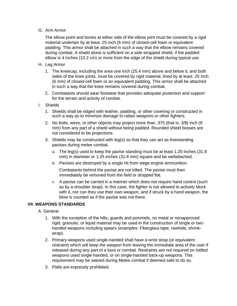#### G. Arm Armor

The elbow point and bones at either side of the elbow joint must be covered by a rigid material underlain by at least .25 inch (6 mm) of closed-cell foam or equivalent padding. This armor shall be attached in such a way that the elbow remains covered during combat. A shield alone is sufficient on a side-strapped shield, if the padded elbow is 4 inches (10.2 cm) or more from the edge of the shield during typical use.

#### H. Leg Armor

- 1. The kneecap, including the area one inch (25.4 mm) above and below it, and both sides of the knee joints, must be covered by rigid material, lined by at least .25 inch (6 mm) of closed-cell foam or an equivalent padding. This armor shall be attached in such a way that the knee remains covered during combat.
- 2. Combatants should wear footwear that provides adequate protection and support for the terrain and activity of combat.

#### I. Shields

- 1. Shields shall be edged with leather, padding, or other covering or constructed in such a way as to minimize damage to rattan weapons or other fighters.
- 2. No bolts, wires, or other objects may project more than .375 (that is, 3/8) inch (9 mm) from any part of a shield without being padded. Rounded shield bosses are not considered to be projections.
- 3. Shields may be constructed with leg(s) so that they can act as freestanding pavises during melee combat.
	- a. The leg(s) used to keep the pavise standing must be at least 1.25 inches (31.8 mm) in diameter or 1.25 inches (31.8 mm) square and be wellattached.
	- b. Pavises are destroyed by a single hit from siege engine ammunition.

Combatants behind the pavise are not killed. The pavise must then immediately be removed from the field or dropped flat.

c. A pavise can be carried in a manner which does not require hand control (such as by a shoulder strap). In this case, the fighter is not allowed to actively block with it, nor can they use their own weapon, and if struck by a hand weapon, the blow is counted as if the pavise was not there.

#### **VII. WEAPONS STANDARDS**

- A. General
	- 1. With the exception of the hilts, guards and pommels, no metal or nonapproved rigid, granular, or liquid material may be used in the construction of single or twohanded weapons including spears (examples: Fiberglass tape, rawhide, shrinkwrap).
	- 2. Primary weapons used single-handed shall have a wrist strap (or equivalent restraint) which will keep the weapon from leaving the immediate area of the user if released during any part of a bout or combat. Restraints are not required on hafted weapons used single-handed, or on single-handed back-up weapons. This requirement may be waived during Melee combat if deemed safe to do so.
	- 3. Flails are expressly prohibited.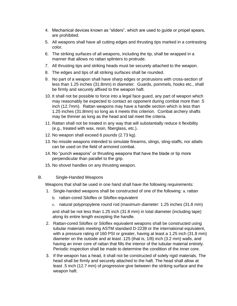- 4. Mechanical devices known as "sliders", which are used to guide or propel spears, are prohibited.
- 5. All weapons shall have all cutting edges and thrusting tips marked in a contrasting color.
- 6. The striking surfaces of all weapons, including the tip, shall be wrapped in a manner that allows no rattan splinters to protrude.
- 7. All thrusting tips and striking heads must be securely attached to the weapon.
- 8. The edges and tips of all striking surfaces shall be rounded.
- 9. No part of a weapon shall have sharp edges or protrusions with cross-section of less than 1.25 inches (31.8mm) in diameter. Guards, pommels, hooks etc., shall be firmly and securely affixed to the weapon haft.
- 10. It shall not be possible to force into a legal face guard, any part of weapon which may reasonably be expected to contact an opponent during combat more than .5 inch (12.7mm). Rattan weapons may have a handle section which is less than 1.25 inches (31.8mm) so long as it meets this criterion. Combat archery shafts may be thinner as long as the head and tail meet the criteria.
- 11. Rattan shall not be treated in any way that will substantially reduce it flexibility (e.g., treated with wax, resin, fiberglass, etc.).
- 12. No weapon shall exceed 6 pounds (2.73 kg).
- 13. No missile weapons intended to simulate firearms, slings, sling-staffs, nor atlatls can be used on the field of armored combat.
- 14. No "punch weapons" or thrusting weapons that have the blade or tip more perpendicular than parallel to the grip.
- 15. No shovel handles on any thrusting weapon.
- B. Single-Handed Weapons

Weapons that shall be used in one hand shall have the following requirements:

- 1. Single-handed weapons shall be constructed of one of the following: a. rattan
	- b. rattan-cored Siloflex or Siloflex-equivalent
	- c. natural polypropylene round rod (maximum diameter: 1.25 inches (31.8 mm)

and shall be not less than 1.25 inch (31.8 mm) in total diameter (including tape) along its entire length excepting the handle.

- 2. Rattan-cored Siloflex or Siloflex equivalent weapons shall be constructed using tubular materials meeting ASTM standard D-2239 or the international equivalent, with a pressure rating of 160 PSI or greater, having at least a 1.25 inch (31.8 mm) diameter on the outside and at least .125 (that is, 1/8) inch (3.2 mm) walls, and having an inner core of rattan that fills the interior of the tubular material entirely. Periodic inspection shall be made to determine the condition of the inner core.
- 3. If the weapon has a head, it shall not be constructed of solely rigid materials. The head shall be firmly and securely attached to the haft. The head shall allow at least .5 inch (12.7 mm) of progressive give between the striking surface and the weapon haft.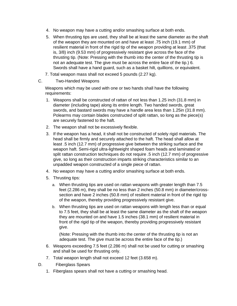- 4. No weapon may have a cutting and/or smashing surface at both ends.
- 5. When thrusting tips are used, they shall be at least the same diameter as the shaft of the weapon they are mounted on and have at least .75 inch (19.1 mm) of resilient material in front of the rigid tip of the weapon providing at least .375 (that is, 3/8) inch (9.53 mm) of progressively resistant give across the face of the thrusting tip. (Note: Pressing with the thumb into the center of the thrusting tip is not an adequate test. The give must be across the entire face of the tip.) 6. Swords shall have a hand guard, such as a basket hilt, quillions, or equivalent.
- 7. Total weapon mass shall not exceed 5 pounds (2.27 kg).
- C. Two-Handed Weapons

Weapons which may be used with one or two hands shall have the following requirements:

- 1. Weapons shall be constructed of rattan of not less than 1.25 inch (31.8 mm) in diameter (including tape) along its entire length. Two handed swords, great swords, and bastard swords may have a handle area less than 1.25in (31.8 mm). Polearms may contain blades constructed of split rattan, so long as the piece(s) are securely fastened to the haft.
- 2. The weapon shall not be excessively flexible.
- 3. If the weapon has a head, it shall not be constructed of solely rigid materials. The head shall be firmly and securely attached to the haft. The head shall allow at least .5 inch (12.7 mm) of progressive give between the striking surface and the weapon haft. Semi-rigid ultra-lightweight shaped foam heads and laminated or split rattan construction techniques do not require .5 inch (12.7 mm) of progressive give, so long as their construction imparts striking characteristics similar to an unpadded weapon constructed of a single piece of rattan.
- 4. No weapon may have a cutting and/or smashing surface at both ends.
- 5. Thrusting tips:
	- a. When thrusting tips are used on rattan weapons with greater length than 7.5 feet (2.286 m), they shall be no less than 2 inches (50.8 mm) in diameter/crosssection and have 2 inches (50.8 mm) of resilient material in front of the rigid tip of the weapon, thereby providing progressively resistant give.
	- b. When thrusting tips are used on rattan weapons with length less than or equal to 7.5 feet, they shall be at least the same diameter as the shaft of the weapon they are mounted on and have 1.5 inches (38.1 mm) of resilient material in front of the rigid tip of the weapon, thereby providing progressively resistant give.

(Note: Pressing with the thumb into the center of the thrusting tip is not an adequate test. The give must be across the entire face of the tip.)

- 6. Weapons exceeding 7.5 feet (2.286 m) shall not be used for cutting or smashing and shall be used for thrusting only.
- 7. Total weapon length shall not exceed 12 feet (3.658 m).
- D. Fiberglass Spears
	- 1. Fiberglass spears shall not have a cutting or smashing head.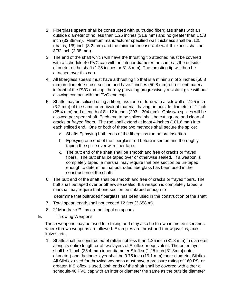- 2. Fiberglass spears shall be constructed with pultruded fiberglass shafts with an outside diameter of no less than 1.25 inches (31.8 mm) and no greater than 1 5/8 inch (33.38mm). Minimum manufacturer specified wall thickness shall be .125 (that is, 1/8) inch (3.2 mm) and the minimum measurable wall thickness shall be 3/32 inch (2.38 mm).
- 3. The end of the shaft which will have the thrusting tip attached must be covered with a schedule-40 PVC cap with an interior diameter the same as the outside diameter of the shaft (1.25 inches or 31.8 mm). The thrusting tip will then be attached over this cap.
- 4. All fiberglass spears must have a thrusting tip that is a minimum of 2 inches (50.8 mm) in diameter/ cross-section and have 2 inches (50.8 mm) of resilient material in front of the PVC end cap, thereby providing progressively resistant give without allowing contact with the PVC end cap.
- 5. Shafts may be spliced using a fiberglass rode or tube with a sidewall of .125 inch (3.2 mm) of the same or equivalent material, having an outside diameter of 1 inch  $(25.4 \text{ mm})$  and a length of 8 - 12 inches  $(203 - 304 \text{ mm})$ . Only two splices will be allowed per spear shaft. Each end to be spliced shall be cut square and clean of cracks or frayed fibers. The rod shall extend at least 4 inches (101.6 mm) into each spliced end. One or both of these two methods shall secure the splice:
	- a. Shafts Epoxying both ends of the fiberglass rod before insertion.
	- b. Epoxying one end of the fiberglass rod before insertion and thoroughly taping the splice over with fiber tape.
	- c. The butt end of the shaft shall be smooth and free of cracks or frayed fibers. The butt shall be taped over or otherwise sealed. If a weapon is completely taped, a marshal may require that one section be un-taped enough to determine that pultruded fiberglass has been used in the construction of the shaft.
- 6. The butt end of the shaft shall be smooth and free of cracks or frayed fibers. The butt shall be taped over or otherwise sealed. If a weapon is completely taped, a marshal may require that one section be untaped enough to

determine that pultruded fiberglass has been used in the construction of the shaft.

- 7. Total spear length shall not exceed 12 feet (3.658 m).
- 8. 2" Mandrake™ tips are not legal on spears
- E. Throwing Weapons

These weapons may be used for striking and may also be thrown in melee scenarios where thrown weapons are allowed. Examples are thrust-and-throw javelins, axes, knives, etc.

1. Shafts shall be constructed of rattan not less than 1.25 inch (31.8 mm) in diameter along its entire length or of two layers of Siloflex or equivalent. The outer layer shall be 1 inch (25.4 mm) inner diameter Siloflex (1.25 inch [31.8mm] outer diameter) and the inner layer shall be 0.75 inch (19.1 mm) inner diameter Siloflex. All Siloflex used for throwing weapons must have a pressure rating of 160 PSI or greater. If Siloflex is used, both ends of the shaft shall be covered with either a schedule-40 PVC cap with an interior diameter the same as the outside diameter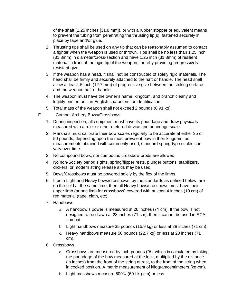of the shaft (1.25 inches [31.8 mm]), or with a rubber stopper or equivalent means to prevent the tubing from penetrating the thrusting tip(s), fastened securely in place by tape and/or glue.

- 2. Thrusting tips shall be used on any tip that can be reasonably assumed to contact a fighter when the weapon is used or thrown. Tips shall be no less than 1.25 inch (31.8mm) in diameter/cross-section and have 1.25 inch (31.8mm) of resilient material in front of the rigid tip of the weapon, thereby providing progressively resistant give.
- 3. If the weapon has a head, it shall not be constructed of solely rigid materials. The head shall be firmly and securely attached to the haft or handle. The head shall allow at least .5 inch (12.7 mm) of progressive give between the striking surface and the weapon haft or handle.
- 4. The weapon must have the owner's name, kingdom, and branch clearly and legibly printed on it in English characters for identification.
- 5. Total mass of the weapon shall not exceed 2 pounds (0.91 kg).
- F. Combat Archery Bows/Crossbows
	- 1. During inspection, all equipment must have its poundage and draw physically measured with a ruler or other metered device and poundage scale.
	- 2. Marshals must calibrate their bow scales regularly to be accurate at either 35 or 50 pounds, depending upon the most prevalent bow in their kingdom, as measurements obtained with commonly-used, standard spring-type scales can vary over time.
	- 3. No compound bows, nor compound crossbow prods are allowed.
	- 4. No non-Society period sights, spring/flipper rests, plunger buttons, stabilizers, clickers, or modern string release aids may be used.
	- 5. Bows/Crossbows must be powered solely by the flex of the limbs.
	- 6. If both Light and Heavy bows/crossbows, by the standards as defined below, are on the field at the same time, then all Heavy bows/crossbows must have their upper limb (or one limb for crossbows) covered with at least 4 inches (10 cm) of red material (tape, cloth, etc).
	- 7. Handbows
		- a. A handbow's power is measured at 28 inches (71 cm). If the bow is not designed to be drawn at 28 inches (71 cm), then it cannot be used in SCA combat.
		- b. Light handbows measure 35 pounds (15.9 kg) or less at 28 inches (71 cm).
		- c. Heavy handbows measure 50 pounds (22.7 kg) or less at 28 inches (71 cm).
	- 8. Crossbows
		- a. Crossbows are measured by inch-pounds ("#), which is calculated by taking the poundage of the bow measured at the lock, multiplied by the distance (in inches) from the front of the string at rest, to the front of the string when in cocked position. A metric measurement of kilogramcentimeters (kg-cm).
		- b. Light crossbows measure 600"# (691 kg-cm) or less.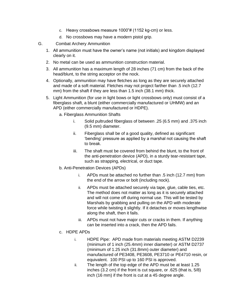- c. Heavy crossbows measure 1000"# (1152 kg-cm) or less.
- d. No crossbows may have a modern pistol grip.
- G. Combat Archery Ammunition
	- 1. All ammunition must have the owner's name (not initials) and kingdom displayed clearly on it.
	- 2. No metal can be used as ammunition construction material.
	- 3. All ammunition has a maximum length of 28 inches (71 cm) from the back of the head/blunt, to the string acceptor on the nock.
	- 4. Optionally, ammunition may have fletches as long as they are securely attached and made of a soft material. Fletches may not project farther than .5 inch (12.7 mm) from the shaft if they are less than 1.5 inch (38.1 mm) thick.
	- 5. Light Ammunition (for use in light bows or light crossbows only) must consist of a fiberglass shaft, a blunt (either commercially manufactured or UHMW) and an APD (either commercially manufactured or HDPE).
		- a. Fiberglass Ammunition Shafts
			- i. Solid pultruded fiberglass of between .25 (6.5 mm) and .375 inch (9.5 mm) diameter.
			- ii. Fiberglass shall be of a good quality, defined as significant 'bending' pressure as applied by a marshal not causing the shaft to break.
			- iii. The shaft must be covered from behind the blunt, to the front of the anti-penetration device (APD), in a sturdy tear-resistant tape, such as strapping, electrical, or duct tape.
		- b. Anti-Penetration Devices (APDs)
			- i. APDs must be attached no further than .5 inch (12.7 mm) from the end of the arrow or bolt (including nock).
			- ii. APDs must be attached securely via tape, glue, cable ties, etc. The method does not matter as long as it is securely attached and will not come off during normal use. This will be tested by Marshals by grabbing and pulling on the APD with moderate force while twisting it slightly. If it detaches or moves lengthwise along the shaft, then it fails.
			- iii. APDs must not have major cuts or cracks in them. If anything can be inserted into a crack, then the APD fails.
		- c. HDPE APDs
			- i. HDPE Pipe: APD made from materials meeting ASTM D2239 (minimum of 1 inch (25.4mm) inner diameter) or ASTM D2737 (minimum of 1.25 inch (31.8mm) outer diameter) and manufactured of PE3408, PE3608, PE3710 or PE4710 resin, or equivalent. 100 PSI up to 160 PSI is approved.
			- ii. The length of the top edge of the APD must be at least 1.25 inches (3.2 cm) if the front is cut square, or .625 (that is, 5/8) inch (16 mm) if the front is cut at a 45 degree angle.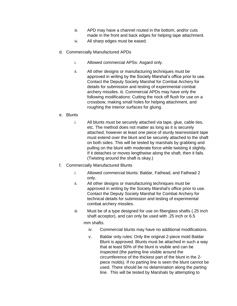- iii. APD may have a channel routed in the bottom, and/or cuts made in the front and back edges for helping tape attachment.
- iv. All sharp edges must be eased.
- d. Commercially Manufactured APDs
	- i. Allowed commercial APSs: Asgard only.
	- ii. All other designs or manufacturing techniques must be approved in writing by the Society Marshal's office prior to use. Contact the Deputy Society Marshal for Combat Archery for details for submission and testing of experimental combat archery missiles. iii. Commercial APDs may have only the following modifications: Cutting the nock off flush for use on a crossbow, making small holes for helping attachment, and roughing the interior surfaces for gluing.
- e. Blunts
	- i. All blunts must be securely attached via tape, glue, cable ties, etc. The method does not matter as long as it is securely attached; however at least one piece of sturdy tearresistant tape must extend over the blunt and be securely attached to the shaft on both sides. This will be tested by marshals by grabbing and pulling on the blunt with moderate force while twisting it slightly. If it detaches or moves lengthwise along the shaft, then it fails. (Twisting around the shaft is okay.)
- f. Commercially Manufactured Blunts
	- i. Allowed commercial blunts: Baldar, Fathead, and Fathead 2 only.
	- ii. All other designs or manufacturing techniques must be approved in writing by the Society Marshal's office prior to use. Contact the Deputy Society Marshal for Combat Archery for technical details for submission and testing of experimental combat archery missiles.
	- iii. Must be of a type designed for use on fiberglass shafts (.25 inch shaft acceptor), and can only be used with .25 inch or 6.5

mm shafts.

- iv. Commercial blunts may have no additional modifications.
- v. Baldar only rules: Only the original 2-piece mold Baldar Blunt is approved. Blunts must be attached in such a way that at least 50% of the blunt is visible and can be inspected (the parting line visible around the circumference of the thickest part of the blunt in the 2 piece molds). If no parting line is seen the blunt cannot be used. There should be no delamination along the parting line. This will be tested by Marshals by attempting to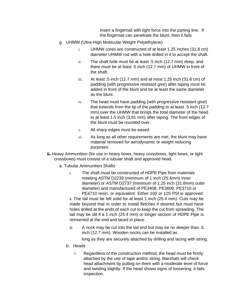insert a fingernail with light force into the parting line. If the fingernail can penetrate the blunt, then it fails

- g. UHMW (Ultra-High Molecular Weight Polyethylene)
	- i. UHMW cores are constructed of at least 1.25 inches (31.8 cm) diameter UHMW rod with a hole drilled in it to accept the shaft.
	- ii. The shaft hole must be at least .5 inch (12.7 mm) deep, and there must be at least .5 inch (12.7 mm) of UHMW in front of the shaft.
	- iii. At least .5 inch (12.7 mm) and at most 1.25 inch (31.8 cm) of padding (with progressive resistant give) after taping must be added in front of the blunt and be at least the same diameter as the blunt.
	- iv. The head must have padding (with progressive resistant give) that extends from the tip of the padding to at least .5 inch (12.7 mm) over the UHMW that brings the total diameter of the head to at least 1.5 inch (3.81 mm) after taping. The front edges of the blunt must be rounded over.
	- v. All sharp edges must be eased.
	- vi. As long as all other requirements are met, the blunt may have material removed for aerodynamic or weight reducing purposes.
- 6. Heavy Ammunition (for use in heavy bows, heavy crossbows, light bows, or light crossbows) must consist of a tubular shaft and approved head.
	- a. Tubular Ammunition Shafts
		- i. The shaft must be constructed of HDPE Pipe from materials meeting ASTM D2239 (minimum of 1 inch (25.4mm) inner diameter) or ASTM D2737 (minimum of 1.25 inch (31.8mm) outer diameter) and manufactured of PE3408, PE3608, PE3710 or PE4710 resin, or equivalent. Either 100 or 125 PSI is approved.

ii. The tail must be left solid for at least 1 inch (25.4 mm). Cuts may be made beyond that in order to install fletches if desired but must have holes drilled at the ends of each cut to keep the cut from spreading. The tail may be slit if a 1 inch (25.4 mm) or longer section of HDPE Pipe is reinserted at the end and laced in place.

iii. A nock may be cut into the tail end but may be no deeper than .5 inch (12.7 mm). Wooden nocks can be installed as

long as they are securely attached by drilling and lacing with string.

- b. Heads
	- i. Regardless of the construction method, the head must be firmly attached by the use of tape and/or string. Marshals will check head attachment by pulling on them with a moderate level of force and twisting slightly. If the head shows signs of loosening, it fails inspection.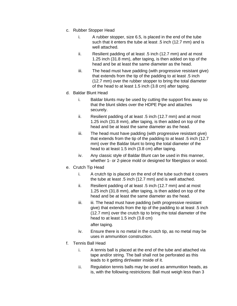- c. Rubber Stopper Head
	- i. A rubber stopper, size 6.5, is placed in the end of the tube such that it enters the tube at least .5 inch (12.7 mm) and is well attached.
	- ii. Resilient padding of at least .5 inch (12.7 mm) and at most 1.25 inch (31.8 mm), after taping, is then added on top of the head and be at least the same diameter as the head.
	- iii. The head must have padding (with progressive resistant give) that extends from the tip of the padding to at least .5 inch (12.7 mm) over the rubber stopper to bring the total diameter of the head to at least 1.5 inch (3.8 cm) after taping.
- d. Baldar Blunt Head
	- i. Baldar blunts may be used by cutting the support fins away so that the blunt slides over the HDPE Pipe and attaches securely.
	- ii. Resilient padding of at least .5 inch (12.7 mm) and at most 1.25 inch (31.8 mm), after taping, is then added on top of the head and be at least the same diameter as the head.
	- iii. The head must have padding (with progressive resistant give) that extends from the tip of the padding to at least .5 inch (12.7 mm) over the Baldar blunt to bring the total diameter of the head to at least 1.5 inch (3.8 cm) after taping.
	- iv. Any classic style of Baldar Blunt can be used in this manner, whether 1- or 2-piece mold or designed for fiberglass or wood.
- e. Crutch Tip Head
	- i. A crutch tip is placed on the end of the tube such that it covers the tube at least .5 inch (12.7 mm) and is well attached.
	- ii. Resilient padding of at least .5 inch (12.7 mm) and at most 1.25 inch (31.8 mm), after taping, is then added on top of the head and be at least the same diameter as the head.
	- iii. iii. The head must have padding (with progressive resistant give) that extends from the tip of the padding to at least .5 inch (12.7 mm) over the crutch tip to bring the total diameter of the head to at least 1.5 inch (3.8 cm)

after taping.

- iv. Ensure there is no metal in the crutch tip, as no metal may be uses in ammunition construction.
- f. Tennis Ball Head
	- i. A tennis ball is placed at the end of the tube and attached via tape and/or string. The ball shall not be perforated as this leads to it getting dirt/water inside of it.
	- ii. Regulation tennis balls may be used as ammunition heads, as is, with the following restrictions: Ball must weigh less than 3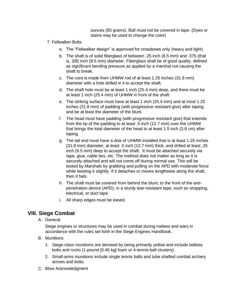ounces (85 grams). Ball must not be covered in tape. (Dyes or stains may be used to change the color)

- 7. Fellwalker Bolts
	- a. The "Fellwalker design" is approved for crossbows only (heavy and light)
	- b. The shaft is of solid fiberglass of between .25 inch (6.5 mm) and .375 (that is, 3/8) inch (9.5 mm) diameter. Fiberglass shall be of good quality, defined as significant bending pressure as applied by a marshal not causing the shaft to break.
	- c. The core is made from UHMW rod of at least 1.25 inches (31.8 mm) diameter with a hole drilled in it to accept the shaft.
	- d. The shaft hole must be at least 1 inch (25.4 mm) deep, and there must be at least 1 inch (25.4 mm) of UHMW in front of the shaft.
	- e. The striking surface must have at least 1 inch (25.4 mm) and at most 1.25 inches (31.8 mm) of padding (with progressive resistant give) after taping and be at least the diameter of the blunt.
	- f. The head must have padding (with progressive resistant give) that extends from the tip of the padding to at least .5 inch (12.7 mm) over the UHMW that brings the total diameter of the head to at least 1.5 inch (3.8 cm) after taping.
	- g. The tail end must have a disk of UHMW installed that is at least 1.25 inches (31.8 mm) diameter, at least .5 inch (12.7 mm) thick, and drilled at least .25 inch (6.5 mm) deep to accept the shaft. It must be attached securely via tape, glue, cable ties, etc. The method does not matter as long as it is securely attached and will not come off during normal use. This will be tested by Marshals by grabbing and pulling on the APD with moderate force while twisting it slightly. If it detaches or moves lengthwise along the shaft, then it fails.
	- h. The shaft must be covered from behind the blunt, to the front of the antipenetration device (APD), in a sturdy tear-resistant tape, such as strapping, electrical, or duct tape.
	- i. All sharp edges must be eased.

# **VIII. Siege Combat**

A. General

Siege engines or structures may be used in combat during melees and wars in accordance with the rules set forth in the Siege Engines Handbook.

- B. Munitions
	- 1. Siege-class munitions are denoted by being primarily yellow and include ballista bolts and rocks (1-pound [0.45 kg] foam or 4-tennis-ball clusters).
	- 2. Small-arms munitions include single tennis balls and tube shafted combat archery arrows and bolts.
- C. Blow Acknowledgment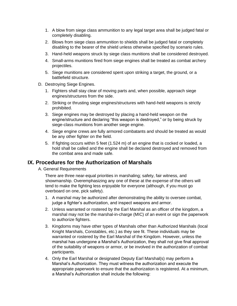- 1. A blow from siege class ammunition to any legal target area shall be judged fatal or completely disabling.
- 2. Blows from siege class ammunition to shields shall be judged fatal or completely disabling to the bearer of the shield unless otherwise specified by scenario rules.
- 3. Hand-held weapons struck by siege class munitions shall be considered destroyed.
- 4. Small-arms munitions fired from siege engines shall be treated as combat archery projectiles.
- 5. Siege munitions are considered spent upon striking a target, the ground, or a battlefield structure.
- D. Destroying Siege Engines.
	- 1. Fighters shall stay clear of moving parts and, when possible, approach siege engines/structures from the side.
	- 2. Striking or thrusting siege engines/structures with hand-held weapons is strictly prohibited.
	- 3. Siege engines may be destroyed by placing a hand-held weapon on the engine/structure and declaring "this weapon is destroyed," or by being struck by siege-class munitions from another siege engine.
	- 4. Siege engine crews are fully armored combatants and should be treated as would be any other fighter on the field.
	- 5. If fighting occurs within 5 feet (1.524 m) of an engine that is cocked or loaded, a hold shall be called and the engine shall be declared destroyed and removed from the combat area and made safe.

#### **IX. Procedures for the Authorization of Marshals**

A. General Requirements

There are three near-equal priorities in marshaling; safety, fair witness, and showmanship. Overemphasizing any one of these at the expense of the others will tend to make the fighting less enjoyable for everyone (although, if you must go overboard on one, pick safety).

- 1. A marshal may be authorized after demonstrating the ability to oversee combat, judge a fighter's authorization, and inspect weapons and armor.
- 2. Unless warranted or rostered by the Earl Marshal as an officer of the kingdom, a marshal may not be the marshal-in-charge (MIC) of an event or sign the paperwork to authorize fighters.
- 3. Kingdoms may have other types of Marshals other than Authorized Marshals (local Knight Marshals, Constables, etc.) as they see fit. These individuals may be warranted or rostered by the Earl Marshal of the Kingdom. However, unless the marshal has undergone a Marshal's Authorization, they shall not give final approval of the suitability of weapons or armor, or be involved in the authorization of combat participants.
- 4. Only the Earl Marshal or designated Deputy Earl Marshal(s) may perform a Marshal's Authorization. They must witness the authorization and execute the appropriate paperwork to ensure that the authorization is registered. At a minimum, a Marshal's Authorization shall include the following: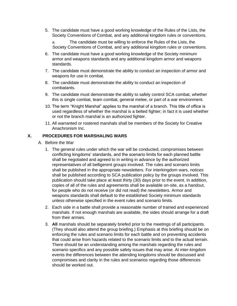5. The candidate must have a good working knowledge of the Rules of the Lists, the Society Conventions of Combat, and any additional kingdom rules or conventions.

a. The candidate must be willing to enforce the Rules of the Lists, the Society Conventions of Combat, and any additional kingdom rules or conventions.

- 6. The candidate must have a good working knowledge of the Society minimum armor and weapons standards and any additional kingdom armor and weapons standards.
- 7. The candidate must demonstrate the ability to conduct an inspection of armor and weapons for use in combat.
- 8. The candidate must demonstrate the ability to conduct an inspection of combatants.
- 9. The candidate must demonstrate the ability to safely control SCA combat, whether this is single combat, team combat, general melee, or part of a war environment.
- 10. The term "Knight Marshal" applies to the marshal of a branch. This title of office is used regardless of whether the marshal is a belted fighter; in fact it is used whether or not the branch marshal is an authorized fighter.
- 11. All warranted or rostered marshals shall be members of the Society for Creative Anachronism Inc.

#### **X. PROCEDURES FOR MARSHALING WARS**

- A. Before the War
	- 1. The general rules under which the war will be conducted, compromises between conflicting kingdoms' standards, and the scenario limits for each planned battle shall be negotiated and agreed to in writing in advance by the authorized representatives of all belligerent groups involved. The rules and scenario limits shall be published in the appropriate newsletters. For interkingdom wars, notices shall be published according to SCA publication policy by the groups involved. This publication should take place at least thirty (30) days prior to the event. In addition, copies of all of the rules and agreements shall be available on-site, as a handout, for people who do not receive (or did not read) the newsletters. Armor and weapons standards shall default to the established Society minimum standards unless otherwise specified in the event rules and scenario limits.
	- 2. Each side in a battle shall provide a reasonable number of trained and experienced marshals. If not enough marshals are available, the sides should arrange for a draft from their armies.
	- 3. **All** marshals should be separately briefed prior to the meetings of all participants. (They should also attend the group briefing.) Emphasis at this briefing should be on enforcing the rules and scenario limits for each battle and on preventing accidents that could arise from hazards related to the scenario limits and to the actual terrain. There should be an understanding among the marshals regarding the rules and scenario specifics and any possible safety issues that may arise. At inter-kingdom events the differences between the attending kingdoms should be discussed and compromises and clarity in the rules and scenarios regarding those differences should be worked out.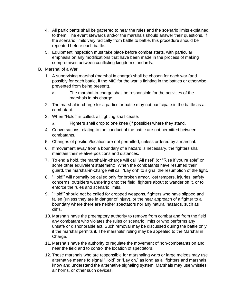- 4. All participants shall be gathered to hear the rules and the scenario limits explained to them. The event stewards and/or the marshals should answer their questions. If the scenario limits vary radically from battle to battle, this procedure should be repeated before each battle.
- 5. Equipment inspection must take place before combat starts, with particular emphasis on any modifications that have been made in the process of making compromises between conflicting kingdom standards.
- B. Marshal of a War
	- 1. A supervising marshal (marshal in charge) shall be chosen for each war (and possibly for each battle, if the MIC for the war is fighting in the battles or otherwise prevented from being present).
		- a. The marshal-in-charge shall be responsible for the activities of the marshals in his charge.
	- 2. The marshal-in-charge for a particular battle may not participate in the battle as a combatant.
	- 3. When "Hold!" is called, all fighting shall cease.
		- a. Fighters shall drop to one knee (if possible) where they stand.
	- 4. Conversations relating to the conduct of the battle are not permitted between combatants.
	- 5. Changes of position/location are not permitted, unless ordered by a marshal.
	- 6. If movement away from a boundary of a hazard is necessary, the fighters shall maintain their relative positions and distances.
	- 7. To end a hold, the marshal-in-charge will call "All rise!" (or "Rise if you're able" or some other equivalent statement). When the combatants have resumed their guard, the marshal-in-charge will call "Lay on!" to signal the resumption of the fight.
	- 8. "Hold!" will normally be called only for broken armor, lost tempers, injuries, safety concerns, outsiders wandering onto the field, fighters about to wander off it, or to enforce the rules and scenario limits.
	- 9. "Hold!" should not be called for dropped weapons, fighters who have slipped and fallen (unless they are in danger of injury), or the near approach of a fighter to a boundary where there are neither spectators nor any natural hazards, such as cliffs.
	- 10. Marshals have the preemptory authority to remove from combat and from the field any combatant who violates the rules or scenario limits or who performs any unsafe or dishonorable act. Such removal may be discussed during the battle only if the marshal permits it. The marshals' ruling may be appealed to the Marshal in Charge.
	- 11. Marshals have the authority to regulate the movement of non-combatants on and near the field and to control the location of spectators.
	- 12. Those marshals who are responsible for marshaling wars or large melees may use alternative means to signal "Hold" or "Lay on," as long as all fighters and marshals know and understand the alternative signaling system. Marshals may use whistles, air horns, or other such devices.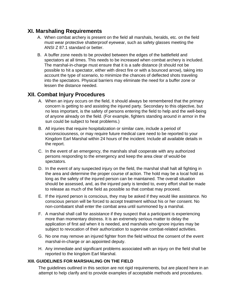## **XI. Marshaling Requirements**

- A. When combat archery is present on the field all marshals, heralds, etc. on the field must wear protective shatterproof eyewear, such as safety glasses meeting the ANSI Z 87.1 standard or better.
- B. A buffer zone needs to be provided between the edges of the battlefield and spectators at all times. This needs to be increased when combat archery is included. The marshal-in-charge must ensure that it is a safe distance (it should not be possible to hit a spectator, either with direct fire or with a bounced arrow), taking into account the type of scenario, to minimize the chances of deflected shots traveling into the spectators. Physical barriers may eliminate the need for a buffer zone or lessen the distance needed.

# **XII. Combat Injury Procedures**

- A. When an injury occurs on the field, it should always be remembered that the primary concern is getting to and assisting the injured party. Secondary to this objective, but no less important, is the safety of persons entering the field to help and the well-being of anyone already on the field. (For example, fighters standing around in armor in the sun could be subject to heat problems.)
- B. All injuries that require hospitalization or similar care, include a period of unconsciousness, or may require future medical care need to be reported to your Kingdom Earl Marshal within 24 hours of the incident. Include all available details in the report.
- C. In the event of an emergency, the marshals shall cooperate with any authorized persons responding to the emergency and keep the area clear of would-be spectators.
- D. In the event of any suspected injury on the field, the marshal shall halt all fighting in the area and determine the proper course of action. The hold may be a local hold as long as the safety of the injured person can be maintained. The overall situation should be assessed, and, as the injured party is tended to, every effort shall be made to release as much of the field as possible so that combat may proceed.
- E. If the injured person is conscious, they may be asked if they would like assistance. No conscious person will be forced to accept treatment without his or her consent. No non-combatant shall enter the combat area until summoned by a marshal.
- F. A marshal shall call for assistance if they suspect that a participant is experiencing more than momentary distress. It is an extremely serious matter to delay the application of first aid when it is needed, and marshals who ignore injuries may be subject to revocation of their authorization to supervise combat-related activities.
- G. No one may remove an injured fighter from the field without the consent of the event marshal-in-charge or an appointed deputy.
- H. Any immediate and significant problems associated with an injury on the field shall be reported to the kingdom Earl Marshal.

#### **XIII. GUIDELINES FOR MARSHALING ON THE FIELD**

The guidelines outlined in this section are not rigid requirements, but are placed here in an attempt to help clarify and to provide examples of acceptable methods and procedures.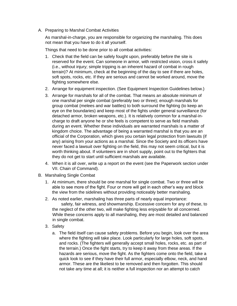A. Preparing to Marshal Combat Activities

As marshal-in-charge, you are responsible for organizing the marshaling. This does not mean that you have to do it all yourself.

Things that need to be done prior to all combat activities:

- 1. Check that the field can be safely fought upon, preferably before the site is reserved for the event. Can someone in armor, with restricted vision, cross it safely (i.e., without injury; simple tripping is an inherent hazard of combat in rough terrain)? At minimum, check at the beginning of the day to see if there are holes, soft spots, rocks, etc. If they are serious and cannot be worked around, move the fighting somewhere else.
- 2. Arrange for equipment inspection. (See Equipment Inspection Guidelines below.)
- 3. Arrange for marshals for all of the combat. That means an absolute minimum of one marshal per single combat (preferably two or three); enough marshals for group combat (melees and war battles) to both surround the fighting (to keep an eye on the boundaries) and keep most of the fights under general surveillance (for detached armor, broken weapons, etc.). It is relatively common for a marshal-incharge to draft anyone he or she feels is competent to serve as field marshals during an event. Whether these individuals are warranted marshals is a matter of kingdom choice. The advantage of being a warranted marshal is that you are an official of the Corporation, which gives you certain legal protection from lawsuits (if any) arising from your actions as a marshal. Since the Society and its officers have never faced a lawsuit over fighting on the field, this may not seem critical, but it is worth thinking about. If volunteers are in short supply, point out to the fighters that they do not get to start until sufficient marshals are available.
- 4. When it is all over, write up a report on the event (see the Paperwork section under VII. Chain of Command).
- B. Marshaling Single Combat
	- 1. At minimum, there should be one marshal for single combat. Two or three will be able to see more of the fight. Four or more will get in each other's way and block the view from the sidelines without providing noticeably better marshaling.
	- 2. As noted earlier, marshaling has three parts of nearly equal importance: safety, fair witness, and showmanship. Excessive concern for any of these, to the neglect of the other two, will make fighting less enjoyable for all concerned. While these concerns apply to all marshaling, they are most detailed and balanced in single combat.
	- 3. Safety
		- a. The field itself can cause safety problems. Before you begin, look over the area where the fighting will take place. Look particularly for large holes, soft spots, and rocks. (The fighters will generally accept small holes, rocks, etc. as part of the terrain.) Once the fight starts, try to keep it away from these areas. If the hazards are serious, move the fight. As the fighters come onto the field, take a quick look to see if they have their full armor, especially elbow, neck, and hand armor. These are the likeliest to be removed and then forgotten. This should not take any time at all; it is neither a full inspection nor an attempt to catch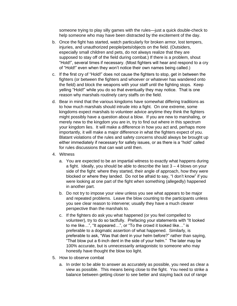someone trying to play silly games with the rules—just a quick double-check to help someone who may have been distracted by the excitement of the day.

- b. Once the fight has started, watch particularly for broken armor, lost tempers, injuries, and unauthorized people/pets/objects on the field. (Outsiders, especially small children and pets, do not always realize that they are supposed to stay off of the field during combat.) If there is a problem, shout "Hold!", several times if necessary. (Most fighters will hear and respond to a cry of "Hold!" even when they won't notice their own names being called.)
- c. If the first cry of "Hold!" does not cause the fighters to stop, get in between the fighters (or between the fighters and whoever or whatever has wandered onto the field) and block the weapons with your staff until the fighting stops. Keep yelling "Hold!" while you do so that eventually they may notice. That is one reason why marshals routinely carry staffs on the field.
- d. Bear in mind that the various kingdoms have somewhat differing traditions as to how much marshals should intrude into a fight. On one extreme, some kingdoms expect marshals to volunteer advice anytime they think the fighters might possibly have a question about a blow. If you are new to marshaling, or merely new to the kingdom you are in, try to find out where in this spectrum your kingdom lies. It will make a difference in how you act and, perhaps more importantly, it will make a major difference in what the fighters expect of you. Blatant violations of the rules and safety concerns should always be brought up either immediately if necessary for safety issues, or as there is a "hold" called for rules discussions that can wait until then.
- 4. Witness
	- a. You are expected to be an impartial witness to exactly what happens during a fight. Ideally, you should be able to describe the last 3 – 4 blows on your side of the fight: where they started, their angle of approach, how they were blocked or where they landed. Do not be afraid to say, "I don't know" if you were looking at one part of the fight when something (allegedly) happened in another part.
	- b. Do not try to impose your view unless you see what appears to be major and repeated problems. Leave the blow counting to the participants unless you see clear reason to intervene; usually they have a much clearer perspective than the marshals to.
	- c. If the fighters do ask you what happened (or you feel compelled to volunteer), try to do so tactfully. Prefacing your statements with "It looked to me like…", "It appeared…", or "To the crowd it looked like…" is preferable to a dogmatic assertion of what happened. Similarly, is preferable to ask, "Was that dent in your helm before?" rather than saying, "That blow put a 6-inch dent in the side of your helm." The later may be 100% accurate, but is unnecessarily antagonistic to someone who may honestly have thought the blow too light.
- 5. How to observe combat
	- a. In order to be able to answer as accurately as possible, you need as clear a view as possible. This means being close to the fight. You need to strike a balance between getting closer to see better and staying back out of range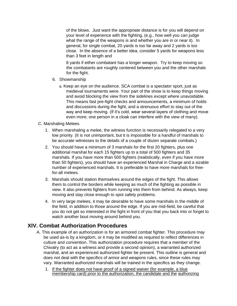of the blows. Just want the appropriate distance is for you will depend on your level of experience with the fighting, (e.g., how well you can judge what the range of the weapons is and whether you are in or near it). In general, for single combat, 20 yards is too far away and 2 yards is too close. In the absence of a better idea, consider 5 yards for weapons less than 3 feet in length and

8 yards if either combatant has a longer weapon. Try to keep moving so the combatants are roughly centered between you and the other marshals for the fight.

- 6. Showmanship
	- a. Keep an eye on the audience. SCA combat is a spectator sport, just as medieval tournaments were. Your part of the show is to keep things moving and avoid blocking the view from the sidelines except where unavoidable. This means fast pre-fight checks and announcements, a minimum of holds and discussions during the fight, and a strenuous effort to stay out of the way and keep moving. (If it's cold, wear several layers of clothing and move even more; one person in a cloak can interfere with the view of many).
- C. Marshaling Melees
	- 1. When marshaling a melee, the witness function is necessarily relegated to a very low priority. (It is not unimportant, but it is impossible for a handful of marshals to be accurate witnesses to the details of a couple of dozen separate combats.)
	- 2. You should have a minimum of 3 marshals for the first 20 fighters, plus one additional marshal for each 15 fighters up to a total of 500 fighters and 35 marshals. If you have more than 500 fighters (realistically, even if you have more than 50 fighters), you should have an experienced Marshal in Charge and a sizable number of experienced marshals. It is preferable to have more marshals for freefor-all melees.
	- 3. Marshals should station themselves around the edges of the fight. This allows them to control the borders while keeping as much of the fighting as possible in view. It also prevents fighters from running into them from behind. As always, keep moving and stay close enough to spot safety problems.
	- 4. In very large melees, it may be desirable to have some marshals in the middle of the field, in addition to those around the edge. If you are mid-field, be careful that you do not get so interested in the fight in front of you that you back into or forget to watch another bout moving around behind you.

# **XIV. Combat Authorization Procedures**

- A. This example of an authorization is for an armored combat fighter. This procedure may be used as-is by a kingdom, or it may be modified as required to reflect differences in culture and convention. This authorization procedure requires that a member of the Chivalry (to act as a witness and provide a second opinion), a warranted authorized marshal, and an experienced authorized fighter be present. This outline is general and does not deal with the specifics of armor and weapons rules, since these rules may vary. Warranted authorized marshals will be trained in the specifics as they change.
	- 1. If the fighter does not have proof of a signed waiver (for example, a blue membership card) prior to the authorization, the candidate and the authorizing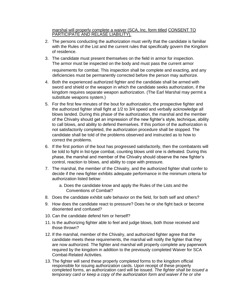marshal will properly complete a waiver (SCA, Inc. form titled CONSENT TO PARTICIPATE AND RELASE LIABILITY).

- 2. The persons conducting the authorization must verify that the candidate is familiar with the Rules of the List and the current rules that specifically govern the Kingdom of residence.
- 3. The candidate must present themselves on the field in armor for inspection. The armor must be inspected on the body and must pass the current armor

requirements for combat. This inspection shall be complete and exacting, and any deficiencies must be permanently corrected before the person may authorize.

- 4. Both the experienced authorized fighter and the candidate shall be armed with sword and shield or the weapon in which the candidate seeks authorization, if the kingdom requires separate weapon authorization. (The Earl Marshal may permit a substitute weapons system.)
- 5. For the first few minutes of the bout for authorization, the prospective fighter and the authorized fighter shall fight at 1/2 to 3/4 speed and verbally acknowledge all blows landed. During this phase of the authorization, the marshal and the member of the Chivalry should get an impression of the new fighter's style, technique, ability to call blows, and ability to defend themselves. If this portion of the authorization is not satisfactorily completed, the authorization procedure shall be stopped. The candidate shall be told of the problems observed and instructed as to how to correct the problems.
- 6. If the first portion of the bout has progressed satisfactorily, then the combatants will be told to fight in list-type combat, counting blows until one is defeated. During this phase, the marshal and member of the Chivalry should observe the new fighter's control, reaction to blows, and ability to cope with pressure.
- 7. The marshal, the member of the Chivalry, and the authorized fighter shall confer to decide if the new fighter exhibits adequate performance in the minimum criteria for authorization listed below:
	- a. Does the candidate know and apply the Rules of the Lists and the Conventions of Combat?
- 8. Does the candidate exhibit safe behavior on the field, for both self and others?
- 9. How does the candidate react to pressure? Does he or she fight back or become disoriented and confused?
- 10. Can the candidate defend him or herself?
- 11. Is the authorizing fighter able to feel and judge blows, both those received and those thrown?
- 12. If the marshal, member of the Chivalry, and authorized fighter agree that the candidate meets these requirements, the marshal will notify the fighter that they are now authorized. The fighter and marshal will properly complete any paperwork required by the kingdom in addition to the previously completed Waiver for SCA Combat-Related Activities.
- 13. The fighter will send these properly completed forms to the kingdom official responsible for issuing authorization cards. Upon receipt of these properly completed forms, an authorization card will be issued. *The fighter shall be issued a temporary card or keep a copy of the authorization form and waiver if he or she*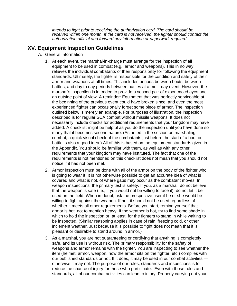*intends to fight prior to receiving the authorization card. The card should be received within one month. If the card is not received, the fighter should contact the authorization official and forward any information or paperwork required.*

## **XV. Equipment Inspection Guidelines**

- A. General Information
	- 1. At each event, the marshal-in-charge must arrange for the inspection of all equipment to be used in combat (e.g., armor and weapons). This in no way relieves the individual combatants of their responsibility for following the equipment standards. Ultimately, the fighter is responsible for the condition and safety of their armor and weapons at all times. This includes periods between bouts, between battles, and day to day periods between battles at a multi-day event. However, the marshal's inspection is intended to provide a second pair of experienced eyes and an outside point of view. A reminder: Equipment that was perfectly serviceable at the beginning of the previous event could have broken since, and even the most experienced fighter can occasionally forget some piece of armor. The inspection outlined below is merely an example. For purposes of illustration, the inspection described is for regular SCA combat without missile weapons. It does not necessarily include checks for additional requirements that your kingdom may have added. A checklist might be helpful as you do the inspection until you have done so many that it becomes second nature. (As noted in the section on marshaling combat, a quick visual check of the combatants just before the start of a bout or battle is also a good idea.) All of this is based on the equipment standards given in the Appendix. You should be familiar with them, as well as with any other requirements that your kingdom may have instituted. The fact that one of the requirements is not mentioned on this checklist does not mean that you should not notice if it has not been met.
	- 2. Armor inspection must be done with all of the armor on the body of the fighter who is going to wear it. It is not otherwise possible to get an accurate idea of what is covered and what is not, of where gaps may occur as the combatant moves. In weapon inspections, the primary test is safety. If you, as a marshal, do not believe that the weapon is safe (i.e., if you would not be willing to face it), do not let it be used on the field. When in doubt, ask the prospective user if he or she would be willing to fight against the weapon. If not, it should not be used regardless of whether it meets all other requirements. Before you start, remind yourself that armor is hot, not to mention heavy. If the weather is hot, try to find some shade in which to hold the inspection or, at least, for the fighters to stand in while waiting to be inspected. (Similar reasoning applies in case of rain, freezing cold, or other inclement weather. Just because it is possible to fight does not mean that it is pleasant or desirable to stand around in armor.)
	- 3. As a marshal, you are not guaranteeing or certifying that anything is completely safe, and its use is without risk. The primary responsibility for the safety of weapons and armor remains with the fighter. You are inspecting to see whether the item (helmet, armor, weapon, how the armor sits on the fighter, etc.) complies with our published standards or not. If it does, it may be used in our combat activities otherwise it may not. The purpose of our rules, standards and inspections is to reduce the chance of injury for those who participate. Even with those rules and standards, all of our combat activities can lead to injury. Properly carrying out your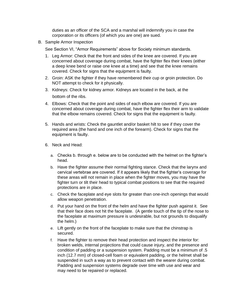duties as an officer of the SCA and a marshal will indemnify you in case the corporation or its officers (of which you are one) are sued.

B. Sample Armor Inspection

See Section VI, "Armor Requirements" above for Society minimum standards.

- 1. Leg Armor: Check that the front and sides of the knee are covered. If you are concerned about coverage during combat, have the fighter flex their knees (either a deep knee bend or raise one knee at a time) and see that the knee remains covered. Check for signs that the equipment is faulty.
- 2. Groin: ASK the fighter if they have remembered their cup or groin protection. Do NOT attempt to check for it physically.
- 3. Kidneys: Check for kidney armor. Kidneys are located in the back, at the bottom of the ribs.
- 4. Elbows: Check that the point and sides of each elbow are covered. If you are concerned about coverage during combat, have the fighter flex their arm to validate that the elbow remains covered. Check for signs that the equipment is faulty.
- 5. Hands and wrists: Check the gauntlet and/or basket hilt to see if they cover the required area (the hand and one inch of the forearm). Check for signs that the equipment is faulty.
- 6. Neck and Head:
	- a. Checks b. through e. below are to be conducted with the helmet on the fighter's head.
	- b. Have the fighter assume their normal fighting stance. Check that the larynx and cervical vertebrae are covered. If it appears likely that the fighter's coverage for these areas will not remain in place when the fighter moves, you may have the fighter turn or tilt their head to typical combat positions to see that the required protections are in place.
	- c. Check the faceplate and eye slots for greater than one-inch openings that would allow weapon penetration.
	- d. Put your hand on the front of the helm and have the fighter push against it. See that their face does not hit the faceplate. (A gentle touch of the tip of the nose to the faceplate at maximum pressure is undesirable, but not grounds to disqualify the helm.)
	- e. Lift gently on the front of the faceplate to make sure that the chinstrap is secured.
	- f. Have the fighter to remove their head protection and inspect the interior for: broken welds, internal projections that could cause injury, and the presence and condition of padding or a suspension system. Padding must be a minimum of .5 inch (12.7 mm) of closed-cell foam or equivalent padding, or the helmet shall be suspended in such a way as to prevent contact with the wearer during combat. Padding and suspension systems degrade over time with use and wear and may need to be repaired or replaced.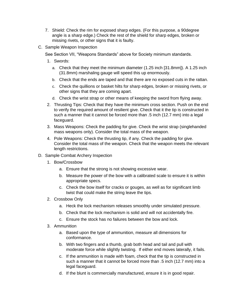- 7. Shield: Check the rim for exposed sharp edges. (For this purpose, a 90degree angle is a sharp edge.) Check the rest of the shield for sharp edges, broken or missing rivets, or other signs that it is faulty.
- C. Sample Weapon Inspection

See Section VII, "Weapons Standards" above for Society minimum standards.

- 1. Swords:
	- a. Check that they meet the minimum diameter (1.25 inch [31.8mm]). A 1.25 inch (31.8mm) marshaling gauge will speed this up enormously.
	- b. Check that the ends are taped and that there are no exposed cuts in the rattan.
	- c. Check the quillions or basket hilts for sharp edges, broken or missing rivets, or other signs that they are coming apart.
	- d. Check the wrist strap or other means of keeping the sword from flying away.
- 2. Thrusting Tips: Check that they have the minimum cross section. Push on the end to verify the required amount of resilient give. Check that it the tip is constructed in such a manner that it cannot be forced more than .5 inch (12.7 mm) into a legal faceguard.
- 3. Mass Weapons: Check the padding for give. Check the wrist strap (singlehanded mass weapons only). Consider the total mass of the weapon.
- 4. Pole Weapons: Check the thrusting tip, if any. Check the padding for give. Consider the total mass of the weapon. Check that the weapon meets the relevant length restrictions.
- D. Sample Combat Archery Inspection
	- 1. Bow/Crossbow
		- a. Ensure that the strong is not showing excessive wear.
		- b. Measure the power of the bow with a calibrated scale to ensure it is within appropriate specs.
		- c. Check the bow itself for cracks or gouges, as well as for significant limb twist that could make the string leave the tips.
	- 2. Crossbow Only
		- a. Heck the lock mechanism releases smoothly under simulated pressure.
		- b. Check that the lock mechanism is solid and will not accidentally fire.
		- c. Ensure the stock has no failures between the bow and lock.
	- 3. Ammunition
		- a. Based upon the type of ammunition, measure all dimensions for conformance.
		- b. With two fingers and a thumb, grab both head and tail and pull with moderate force while slightly twisting. If either end moves laterally, it fails.
		- c. If the ammunition is made with foam, check that the tip is constructed in such a manner that it cannot be forced more than .5 inch (12.7 mm) into a legal faceguard.
		- d. If the blunt is commercially manufactured, ensure it is in good repair.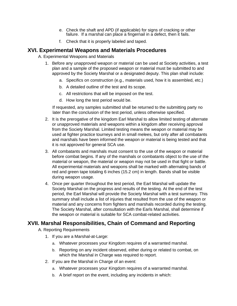- e. Check the shaft and APD (if applicable) for signs of cracking or other failure. If a marshal can place a fingernail in a defect, then it fails.
- f. Check that it is properly labeled and taped.

# **XVI. Experimental Weapons and Materials Procedures**

A. Experimental Weapons and Materials

- 1. Before any unapproved weapon or material can be used at Society activities, a test plan and a sample of the proposed weapon or material must be submitted to and approved by the Society Marshal or a designated deputy. This plan shall include:
	- a. Specifics on construction (e.g., materials used, how it is assembled, etc.)
	- b. A detailed outline of the test and its scope.
	- c. All restrictions that will be imposed on the test.
	- d. How long the test period would be.

If requested, any samples submitted shall be returned to the submitting party no later than the conclusion of the test period, unless otherwise specified.

- 2. It is the prerogative of the kingdom Earl Marshal to allow limited testing of alternate or unapproved materials and weapons within a kingdom after receiving approval from the Society Marshal. Limited testing means the weapon or material may be used at fighter practice tourneys and in small melees, but only after all combatants and marshals have been informed the weapon or material is being tested and that it is not approved for general SCA use.
- 3. All combatants and marshals must consent to the use of the weapon or material before combat begins. If any of the marshals or combatants object to the use of the material or weapon, the material or weapon may not be used in that fight or battle. All experimental materials and weapons shall be marked with alternating bands of red and green tape totaling 6 inches (15.2 cm) in length. Bands shall be visible during weapon usage.
- 4. Once per quarter throughout the test period, the Earl Marshal will update the Society Marshal on the progress and results of the testing. At the end of the test period, the Earl Marshal will provide the Society Marshal with a test summary. This summary shall include a list of injuries that resulted from the use of the weapon or material and any concerns from fighters and marshals recorded during the testing. The Society Marshal, after consultation with the Earls Marshal, shall determine if the weapon or material is suitable for SCA combat-related activities.

### **XVII. Marshal Responsibilities, Chain of Command and Reporting**

- A. Reporting Requirements
	- 1. If you are a Marshal-at-Large:
		- a. Whatever processes your Kingdom requires of a warranted marshal.
		- b. Reporting on any incident observed, either during or related to combat, on which the Marshal in Charge was required to report.
	- 2. If you are the Marshal in Charge of an event:
		- a. Whatever processes your Kingdom requires of a warranted marshal.
		- b. A brief report on the event, including any incidents in which: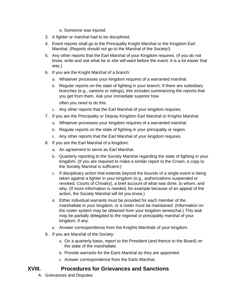iv. Someone was injured.

- 3. A fighter or marshal had to be disciplined.
- 4. Event reports shall go to the Principality Knight Marshal or the Kingdom Earl Marshal. (Reports should not go to the Marshal of the Society!)
- 5. Any other reports that the Earl Marshal of your Kingdom requires. (If you do not know, write and ask what he or she will want before the event. It is a lot easier that way.)
- 6. If you are the Knight Marshal of a branch:
	- a. Whatever processes your kingdom requires of a warranted marshal.
	- b. Regular reports on the state of fighting in your branch. If there are subsidiary branches (e.g., cantons or ridings), this includes summarizing the reports that you get from them. Ask your immediate superior how

often you need to do this.

- c. Any other reports that the Earl Marshal of your kingdom requires.
- 7. If you are the Principality or Deputy Kingdom Earl Marshal or Knights Marshal:
	- a. Whatever processes your kingdom requires of a warranted marshal.
	- b. Regular reports on the state of fighting in your principality or region.
	- c. Any other reports that the Earl Marshal of your kingdom requires.
- 8. If you are the Earl Marshal of a kingdom:
	- a. An agreement to serve as Earl Marshal.
	- b. Quarterly reporting to the Society Marshal regarding the state of fighting in your kingdom. (If you are required to make a similar report to the Crown, a copy to the Society Marshal is sufficient.)
	- c. If disciplinary action that extends beyond the bounds of a single event is being taken against a fighter in your kingdom (e.g., authorizations suspended or revoked, Courts of Chivalry), a brief account of what was done, to whom, and why. (If more information is needed, for example because of an appeal of the action, the Society Marshal will let you know.)
	- d. Either individual warrants must be provided for each member of the marshallate in your kingdom, or a roster must be maintained. (Information on the roster system may be obtained from your kingdom seneschal.) This task may be partially delegated to the regional or principality marshal of your kingdom, if any.
	- e. Answer correspondence from the Knights Marshals of your kingdom.
- 9. If you are Marshal of the Society:
	- a. On a quarterly basis, report to the President (and thence to the Board) on the state of the marshallate.
	- b. Provide warrants for the Earls Marshal as they are appointed.
	- c. Answer correspondence from the Earls Marshal.

### **XVIII. Procedures for Grievances and Sanctions**

A. Grievances and Disputes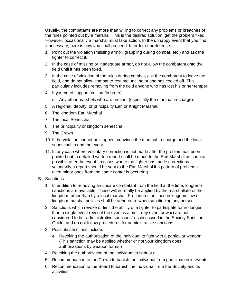Usually, the combatants are more than willing to correct any problems or breaches of the rules pointed out by a marshal. This is the desired solution: get the problem fixed. However, occasionally a marshal must take action. In the unhappy event that you find it necessary, here is how you shall proceed. In order of preference:

- 1. Point out the violation (missing armor, grappling during combat, etc.) and ask the fighter to correct it.
- 2. In the case of missing or inadequate armor, do not allow the combatant onto the field until it has been fixed.
- 3. In the case of violation of the rules during combat, ask the combatant to leave the field, and do not allow combat to resume until he or she has cooled off. This particularly includes removing from the field anyone who has lost his or her temper.
- 4. If you need support, call on (in order):
	- d. Any other marshals who are present (especially the marshal-in-charge).
- 5. A regional, deputy, or principality Earl or Knight Marshal.
- 6. The kingdom Earl Marshal
- 7. The local Seneschal
- 8. The principality or kingdom seneschal
- 9. The Crown
- 10. If the violation cannot be stopped, convince the marshal-in-charge and the local seneschal to end the event.
- 11. In any case where voluntary correction is not made after the problem has been pointed out, a detailed written report shall be made to the Earl Marshal as soon as possible after the event. In cases where the fighter has made corrections voluntarily a report should be sent to the Earl Marshal if a pattern of problems, even minor ones from the same fighter is occurring.
- B. Sanctions
	- 1. In addition to removing an unsafe combatant from the field at the time, longterm sanctions are available. These will normally be applied by the marshallate of the kingdom rather than by a local marshal. Procedures outlined in kingdom law or kingdom marshal policies shall be adhered to when sanctioning any person.
	- 2. Sanctions which revoke or limit the ability of a fighter to participate for no longer than a single event (even if the event is a multi-day event or war) are not considered to be "administrative sanctions" as discussed in the Society Sanction Guide, and do not follow procedures for administrative sanctions.
	- 3. Possible sanctions include:
		- e. Revoking the authorization of the individual to fight with a particular weapon. (This sanction may be applied whether or not your kingdom does authorizations by weapon forms.)
	- 4. Revoking the authorization of the individual to fight at all.
	- 5. Recommendation to the Crown to banish the individual from participation in events.
	- 6. Recommendation to the Board to banish the individual from the Society and its activities.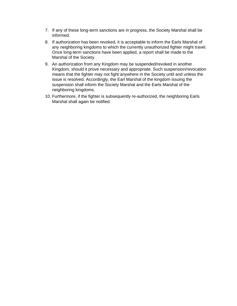- 7. If any of these long-term sanctions are in progress, the Society Marshal shall be informed.
- 8. If authorization has been revoked, it is acceptable to inform the Earls Marshal of any neighboring kingdoms to which the currently unauthorized fighter might travel. Once long-term sanctions have been applied, a report shall be made to the Marshal of the Society.
- 9. An authorization from any Kingdom may be suspended/revoked in another Kingdom, should it prove necessary and appropriate. Such suspension/revocation means that the fighter may not fight anywhere in the Society until and unless the issue is resolved. Accordingly, the Earl Marshal of the kingdom issuing the suspension shall inform the Society Marshal and the Earls Marshal of the neighboring kingdoms.
- 10. Furthermore, if the fighter is subsequently re-authorized, the neighboring Earls Marshal shall again be notified.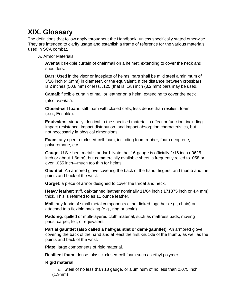# **XIX. Glossary**

The definitions that follow apply throughout the Handbook, unless specifically stated otherwise. They are intended to clarify usage and establish a frame of reference for the various materials used in SCA combat.

A. Armor Materials

**Aventail**: flexible curtain of chainmail on a helmet, extending to cover the neck and shoulders.

**Bars**: Used in the visor or faceplate of helms, bars shall be mild steel a minimum of 3/16 inch (4.5mm) in diameter, or the equivalent. If the distance between crossbars is 2 inches (50.8 mm) or less, .125 (that is, 1/8) inch (3.2 mm) bars may be used.

**Camail**: flexible curtain of mail or leather on a helm, extending to cover the neck

(also *aventail*).

**Closed-cell foam**: stiff foam with closed cells, less dense than resilient foam (e.g., Ensolite).

**Equivalent**: virtually identical to the specified material in effect or function, including impact resistance, impact distribution, and impact absorption characteristics, but not necessarily in physical dimensions.

**Foam**: any open- or closed-cell foam, including foam rubber, foam neoprene, polyurethane, etc.

**Gauge**: U.S. sheet metal standard. Note that 16-gauge is officially 1/16 inch (.0625 inch or about 1.6mm), but commercially available sheet is frequently rolled to .058 or even .055 inch—much too thin for helms.

**Gauntlet**: An armored glove covering the back of the hand, fingers, and thumb and the points and back of the wrist.

**Gorget**: a piece of armor designed to cover the throat and neck.

**Heavy leather**: stiff, oak-tanned leather nominally 11/64 inch (.171875 inch or 4.4 mm) thick. This is referred to as 11 ounce leather.

**Mail**: any fabric of small metal components either linked together (e.g., chain) or attached to a flexible backing (e.g., ring or scale).

**Padding**: quilted or multi-layered cloth material, such as mattress pads, moving pads, carpet, felt, or equivalent

**Partial gauntlet (also called a half-gauntlet or demi-gauntlet)**: An armored glove covering the back of the hand and at least the first knuckle of the thumb, as well as the points and back of the wrist.

**Plate**: large components of rigid material.

**Resilient foam**: dense, plastic, closed-cell foam such as ethyl polymer.

#### **Rigid material**:

a. Steel of no less than 18 gauge, or aluminum of no less than 0.075 inch (1.9mm)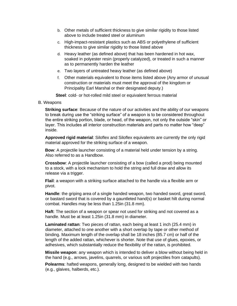- b. Other metals of sufficient thickness to give similar rigidity to those listed above to include treated steel or aluminum
- c. High-impact-resistant plastics such as ABS or polyethylene of sufficient thickness to give similar rigidity to those listed above
- d. Heavy leather (as defined above) that has been hardened in hot wax, soaked in polyester resin (properly catalyzed), or treated in such a manner as to permanently harden the leather
- e. Two layers of untreated heavy leather (as defined above)
- f. Other materials equivalent to those items listed above (Any armor of unusual construction or materials must meet the approval of the kingdom or Principality Earl Marshal or their designated deputy.)

**Steel**: cold- or hot-rolled mild steel or equivalent ferrous material

#### B. Weapons

**Striking surface**: Because of the nature of our activities and the ability of our weapons to break during use the "striking surface" of a weapon is to be considered throughout the entire striking portion, blade, or head, of the weapon, not only the outside "skin" or layer. This includes all interior construction materials and parts no matter how "deep" inside.

**Approved rigid material**: Siloflex and Siloflex equivalents are currently the only rigid material approved for the striking surface of a weapon.

**Bow**: A projectile launcher consisting of a material held under tension by a string. Also referred to as a Handbow.

**Crossbow**: A projectile launcher consisting of a bow (called a prod) being mounted to a stock, with a lock mechanism to hold the string and full draw and allow its release via a trigger.

**Flail**: a weapon with a striking surface attached to the handle via a flexible arm or pivot.

**Handle**: the griping area of a single handed weapon, two handed sword, great sword, or bastard sword that is covered by a gauntleted hand(s) or basket hilt during normal combat. Handles may be less than 1.25in (31.8 mm).

**Haft**: The section of a weapon or spear not used for striking and not covered as a handle. Must be at least 1.25in (31.8 mm) in diameter.

**Laminated rattan**: Two pieces of rattan, each being at least 1 inch (25.4 mm) in diameter, attached to one another with a short overlap by tape or other method of binding. Maximum length of the overlap shall be 18 inches (85.7 cm) or half of the length of the added rattan, whichever is shorter. Note that use of glues, epoxies, or adhesives, which substantially reduce the flexibility of the rattan, is prohibited.

**Missile weapon**: any weapon which is intended to deliver a blow without being held in the hand (e.g., arrows, javelins, quarrels, or various soft projectiles from catapults).

**Polearms**: hafted weapons, generally long, designed to be wielded with two hands (e.g., glaives, halberds, etc.).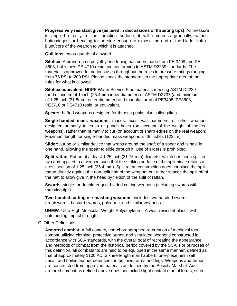**Progressively resistant give (as used in discussions of thrusting tips)**: As pressure is applied directly to the thrusting surface, it will compress gradually, without bottomingout or bending to the side enough to expose the end of the blade, haft or blunt/core of the weapon to which it is attached.

**Quillions**: cross-guards of a sword.

**Siloflex**: A brand-name polyethylene tubing has been made from PE 3408 and PE 3608, but is now PE 4710 resin and conforming to ASTM D2239 standards. The material is approved for various uses throughout the rules in pressure ratings ranging from 75 PSI to 200 PSI. Please check the standards in the appropriate area of the rules for what is allowed.

**Siloflex equivalent**: HDPE Water Service Pipe materials meeting ASTM D2239 (and minimum of 1 inch (25.4mm) inner diameter) or ASTM D2737 (and minimum of 1.25 inch (31.8mm) outer diameter) and manufactured of PE3408, PE3608, PE3710 or PE4710 resin, or equivalent.

**Spears:** hafted weapons designed for thrusting only; also called pikes.

**Single-handed mass weapons**: maces, axes, war hammers, or other weapons designed primarily to crush or punch holes (on account of the weight of the real weapons), rather than primarily to cut (on account of sharp edges on the real weapon). Maximum length for single-handed mass weapons is 48 inches (122cm).

**Slider**: a tube or similar device that wraps around the shaft of a spear and is held in one hand, allowing the spear to slide through it. Use of sliders is prohibited.

**Split rattan**: Rattan of at least 1.25 inch (31.75 mm) diameter which has been split in two and applied to a weapon such that the striking surface of the split piece retains a cross section of 1.25 inch (25.4 mm). Split rattan construction does not place the split rattan directly against the non-split haft of the weapon, but rather spaces the split off of the haft to allow give in the head by flexion of the split of rattan.

**Swords**: single- or double-edged, bladed cutting weapons (including swords with thrusting tips).

**Two-handed cutting or smashing weapons**: includes two-handed swords, greatswords, bastard swords, polearms, and similar weapons.

**UHMW**: Ultra-High Molecular Weight Polyethylene – A wear resistant plastic with outstanding impact strength.

C. Other Definitions

**Armored combat**: A full contact, non-choreographed re-creation of medieval foot combat utilizing clothing, protective armor, and simulated weapons constructed in accordance with SCA standards, with the overall goal of recreating the appearance and methods of combat from the historical period covered by the SCA. For purposes of this definition, all combatants are held to be equipped in the same manner, defined as that of approximately 1100 AD: a knee-length mail hauberk, one-piece helm with nasal, and boiled leather defenses for the lower arms and legs. Weapons and armor are constructed from approved materials as defined by the Society Marshal. Adult armored combat as defined above does not include light contact martial forms, such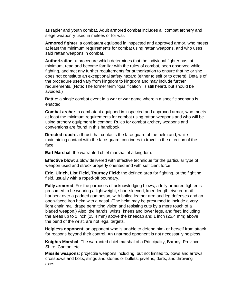as rapier and youth combat. Adult armored combat includes all combat archery and siege weaponry used in melees or for war.

**Armored fighter**: a combatant equipped in inspected and approved armor, who meets at least the minimum requirements for combat using rattan weapons, and who uses said rattan weapons in combat.

**Authorization**: a procedure which determines that the individual fighter has, at minimum, read and become familiar with the rules of combat, been observed while fighting, and met any further requirements for authorization to ensure that he or she does not constitute an exceptional safety hazard (either to self or to others). Details of the procedure used vary from kingdom to kingdom and may include further requirements. (Note: The former term "qualification" is still heard, but should be avoided.)

**Battle**: a single combat event in a war or war game wherein a specific scenario is enacted.

**Combat archer**: a combatant equipped in inspected and approved armor, who meets at least the minimum requirements for combat using rattan weapons and who will be using archery equipment in combat. Rules for combat archery weapons and conventions are found in this handbook.

**Directed touch**: a thrust that contacts the face-guard of the helm and, while maintaining contact with the face-guard, continues to travel in the direction of the face.

**Earl Marshal**: the warranted chief marshal of a kingdom.

**Effective blow**: a blow delivered with effective technique for the particular type of weapon used and struck properly oriented and with sufficient force.

**Eric, Ulrich, List Field, Tourney Field**: the defined area for fighting, or the fighting field, usually with a roped-off boundary.

**Fully armored**: For the purposes of acknowledging blows, a fully armored fighter is presumed to be wearing a lightweight, short-sleeved, knee-length, riveted-mail hauberk over a padded gambeson, with boiled leather arm and leg defenses and an open-faced iron helm with a nasal. (The helm may be presumed to include a very light chain mail drape permitting vision and resisting cuts by a mere touch of a bladed weapon.) Also, the hands, wrists, knees and lower legs, and feet, including the areas up to 1 inch (25.4 mm) above the kneecap and 1 inch (25.4 mm) above the bend of the wrist, are not legal targets.

**Helpless opponent**: an opponent who is unable to defend him- or herself from attack for reasons beyond their control. An unarmed opponent is not necessarily helpless.

**Knights Marshal**: The warranted chief marshal of a Principality, Barony, Province, Shire, Canton, etc.

**Missile weapons**: projectile weapons including, but not limited to, bows and arrows, crossbows and bolts, slings and stones or bullets, javelins, darts, and throwing axes.